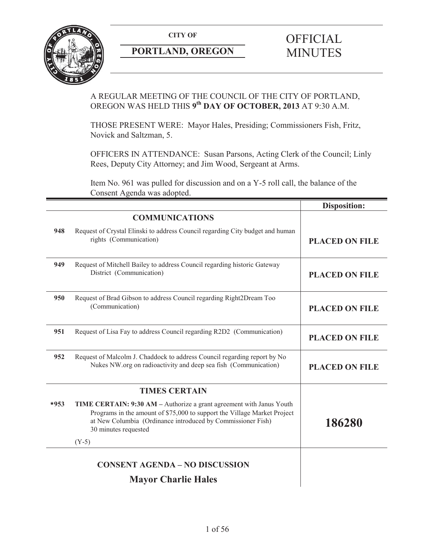

## **PORTLAND, OREGON MINUTES**

# **CITY OF** OFFICIAL

## A REGULAR MEETING OF THE COUNCIL OF THE CITY OF PORTLAND, OREGON WAS HELD THIS **9th DAY OF OCTOBER, 2013** AT 9:30 A.M.

THOSE PRESENT WERE: Mayor Hales, Presiding; Commissioners Fish, Fritz, Novick and Saltzman, 5.

OFFICERS IN ATTENDANCE: Susan Parsons, Acting Clerk of the Council; Linly Rees, Deputy City Attorney; and Jim Wood, Sergeant at Arms.

Item No. 961 was pulled for discussion and on a Y-5 roll call, the balance of the Consent Agenda was adopted.

|        |                                                                                                                                                                                                                                         | <b>Disposition:</b>   |
|--------|-----------------------------------------------------------------------------------------------------------------------------------------------------------------------------------------------------------------------------------------|-----------------------|
|        | <b>COMMUNICATIONS</b>                                                                                                                                                                                                                   |                       |
| 948    | Request of Crystal Elinski to address Council regarding City budget and human<br>rights (Communication)                                                                                                                                 | <b>PLACED ON FILE</b> |
| 949    | Request of Mitchell Bailey to address Council regarding historic Gateway<br>District (Communication)                                                                                                                                    | <b>PLACED ON FILE</b> |
| 950    | Request of Brad Gibson to address Council regarding Right2Dream Too<br>(Communication)                                                                                                                                                  | <b>PLACED ON FILE</b> |
| 951    | Request of Lisa Fay to address Council regarding R2D2 (Communication)                                                                                                                                                                   | <b>PLACED ON FILE</b> |
| 952    | Request of Malcolm J. Chaddock to address Council regarding report by No<br>Nukes NW org on radioactivity and deep sea fish (Communication)                                                                                             | <b>PLACED ON FILE</b> |
|        | <b>TIMES CERTAIN</b>                                                                                                                                                                                                                    |                       |
| $*953$ | TIME CERTAIN: 9:30 AM - Authorize a grant agreement with Janus Youth<br>Programs in the amount of \$75,000 to support the Village Market Project<br>at New Columbia (Ordinance introduced by Commissioner Fish)<br>30 minutes requested | 186280                |
|        | $(Y-5)$                                                                                                                                                                                                                                 |                       |
|        | <b>CONSENT AGENDA – NO DISCUSSION</b>                                                                                                                                                                                                   |                       |
|        | <b>Mayor Charlie Hales</b>                                                                                                                                                                                                              |                       |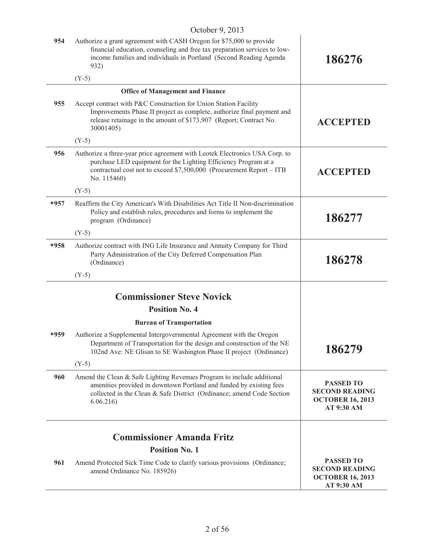|        | $OUVUU1$ , $201J$                                                                                                                                                                                                                     |                                                                                    |
|--------|---------------------------------------------------------------------------------------------------------------------------------------------------------------------------------------------------------------------------------------|------------------------------------------------------------------------------------|
| 954    | Authorize a grant agreement with CASH Oregon for \$75,000 to provide<br>financial education, counseling and free tax preparation services to low-<br>income families and individuals in Portland (Second Reading Agenda<br>932)       | 186276                                                                             |
|        | $(Y-5)$                                                                                                                                                                                                                               |                                                                                    |
|        | <b>Office of Management and Finance</b>                                                                                                                                                                                               |                                                                                    |
| 955    | Accept contract with P&C Construction for Union Station Facility<br>Improvements Phase II project as complete, authorize final payment and<br>release retainage in the amount of \$173,907 (Report; Contract No.<br>30001405)         | <b>ACCEPTED</b>                                                                    |
|        | $(Y-5)$                                                                                                                                                                                                                               |                                                                                    |
| 956    | Authorize a three-year price agreement with Leotek Electronics USA Corp. to<br>purchase LED equipment for the Lighting Efficiency Program at a<br>contractual cost not to exceed \$7,500,000 (Procurement Report - ITB<br>No. 115460) | <b>ACCEPTED</b>                                                                    |
|        | $(Y-5)$                                                                                                                                                                                                                               |                                                                                    |
| $*957$ | Reaffirm the City American's With Disabilities Act Title II Non-discrimination<br>Policy and establish rules, procedures and forms to implement the<br>program (Ordinance)                                                            | 186277                                                                             |
|        | $(Y-5)$                                                                                                                                                                                                                               |                                                                                    |
| $*958$ | Authorize contract with ING Life Insurance and Annuity Company for Third<br>Party Administration of the City Deferred Compensation Plan<br>(Ordinance)                                                                                | 186278                                                                             |
|        | $(Y-5)$                                                                                                                                                                                                                               |                                                                                    |
|        |                                                                                                                                                                                                                                       |                                                                                    |
|        | <b>Commissioner Steve Novick</b>                                                                                                                                                                                                      |                                                                                    |
|        | <b>Position No. 4</b>                                                                                                                                                                                                                 |                                                                                    |
|        | <b>Bureau of Transportation</b>                                                                                                                                                                                                       |                                                                                    |
| *959   | Authorize a Supplemental Intergovernmental Agreement with the Oregon<br>Department of Transportation for the design and construction of the NE<br>102nd Ave: NE Glisan to SE Washington Phase II project (Ordinance)                  | 186279                                                                             |
|        | $(Y-5)$                                                                                                                                                                                                                               |                                                                                    |
| 960    | Amend the Clean & Safe Lighting Revenues Program to include additional<br>amenities provided in downtown Portland and funded by existing fees<br>collected in the Clean & Safe District (Ordinance; amend Code Section<br>6.06.216    | <b>PASSED TO</b><br><b>SECOND READING</b><br><b>OCTOBER 16, 2013</b><br>AT 9:30 AM |
|        |                                                                                                                                                                                                                                       |                                                                                    |
|        | <b>Commissioner Amanda Fritz</b>                                                                                                                                                                                                      |                                                                                    |
|        | <b>Position No. 1</b>                                                                                                                                                                                                                 |                                                                                    |
| 961    | Amend Protected Sick Time Code to clarify various provisions (Ordinance;<br>amend Ordinance No. 185926)                                                                                                                               | <b>PASSED TO</b><br><b>SECOND READING</b><br><b>OCTOBER 16, 2013</b><br>AT 9:30 AM |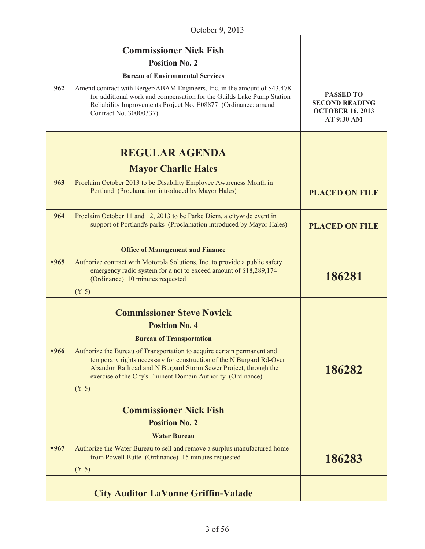|        | <b>Commissioner Nick Fish</b><br><b>Position No. 2</b>                                                                                                                                                                                                                                                               |                                                                                    |
|--------|----------------------------------------------------------------------------------------------------------------------------------------------------------------------------------------------------------------------------------------------------------------------------------------------------------------------|------------------------------------------------------------------------------------|
|        | <b>Bureau of Environmental Services</b>                                                                                                                                                                                                                                                                              |                                                                                    |
| 962    | Amend contract with Berger/ABAM Engineers, Inc. in the amount of \$43,478<br>for additional work and compensation for the Guilds Lake Pump Station<br>Reliability Improvements Project No. E08877 (Ordinance; amend<br>Contract No. 30000337)                                                                        | <b>PASSED TO</b><br><b>SECOND READING</b><br><b>OCTOBER 16, 2013</b><br>AT 9:30 AM |
|        | <b>REGULAR AGENDA</b>                                                                                                                                                                                                                                                                                                |                                                                                    |
|        | <b>Mayor Charlie Hales</b>                                                                                                                                                                                                                                                                                           |                                                                                    |
| 963    | Proclaim October 2013 to be Disability Employee Awareness Month in<br>Portland (Proclamation introduced by Mayor Hales)                                                                                                                                                                                              | <b>PLACED ON FILE</b>                                                              |
| 964    | Proclaim October 11 and 12, 2013 to be Parke Diem, a citywide event in<br>support of Portland's parks (Proclamation introduced by Mayor Hales)                                                                                                                                                                       | <b>PLACED ON FILE</b>                                                              |
|        | <b>Office of Management and Finance</b>                                                                                                                                                                                                                                                                              |                                                                                    |
| $*965$ | Authorize contract with Motorola Solutions, Inc. to provide a public safety<br>emergency radio system for a not to exceed amount of \$18,289,174<br>(Ordinance) 10 minutes requested<br>$(Y-5)$                                                                                                                      | 186281                                                                             |
|        |                                                                                                                                                                                                                                                                                                                      |                                                                                    |
|        | <b>Commissioner Steve Novick</b>                                                                                                                                                                                                                                                                                     |                                                                                    |
|        | <b>Position No. 4</b>                                                                                                                                                                                                                                                                                                |                                                                                    |
| $*966$ | <b>Bureau of Transportation</b><br>Authorize the Bureau of Transportation to acquire certain permanent and<br>temporary rights necessary for construction of the N Burgard Rd-Over<br>Abandon Railroad and N Burgard Storm Sewer Project, through the<br>exercise of the City's Eminent Domain Authority (Ordinance) | 186282                                                                             |
|        | $(Y-5)$                                                                                                                                                                                                                                                                                                              |                                                                                    |
|        | <b>Commissioner Nick Fish</b><br><b>Position No. 2</b>                                                                                                                                                                                                                                                               |                                                                                    |
|        | <b>Water Bureau</b>                                                                                                                                                                                                                                                                                                  |                                                                                    |
| $*967$ | Authorize the Water Bureau to sell and remove a surplus manufactured home<br>from Powell Butte (Ordinance) 15 minutes requested                                                                                                                                                                                      | 186283                                                                             |
|        | $(Y-5)$                                                                                                                                                                                                                                                                                                              |                                                                                    |
|        | <b>City Auditor LaVonne Griffin-Valade</b>                                                                                                                                                                                                                                                                           |                                                                                    |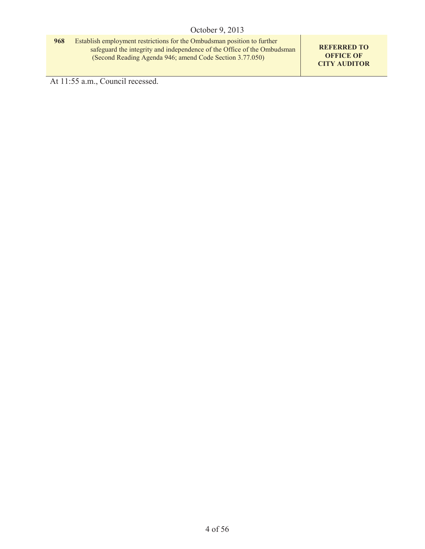**968** Establish employment restrictions for the Ombudsman position to further safeguard the integrity and independence of the Office of the Ombudsman (Second Reading Agenda 946; amend Code Section 3.77.050)

**REFERRED TO OFFICE OF CITY AUDITOR**

At 11:55 a.m., Council recessed.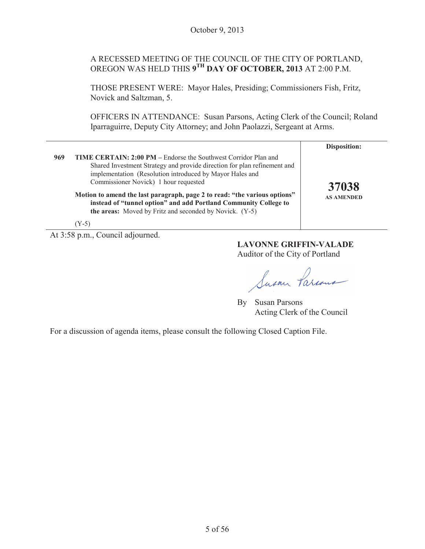## A RECESSED MEETING OF THE COUNCIL OF THE CITY OF PORTLAND, OREGON WAS HELD THIS **9TH DAY OF OCTOBER, 2013** AT 2:00 P.M.

THOSE PRESENT WERE: Mayor Hales, Presiding; Commissioners Fish, Fritz, Novick and Saltzman, 5.

OFFICERS IN ATTENDANCE: Susan Parsons, Acting Clerk of the Council; Roland Iparraguirre, Deputy City Attorney; and John Paolazzi, Sergeant at Arms.

|     |                                                                                                                                                                                                                                                                                                                                                                                                                                                                                | Disposition:               |
|-----|--------------------------------------------------------------------------------------------------------------------------------------------------------------------------------------------------------------------------------------------------------------------------------------------------------------------------------------------------------------------------------------------------------------------------------------------------------------------------------|----------------------------|
| 969 | <b>TIME CERTAIN: 2:00 PM</b> – Endorse the Southwest Corridor Plan and<br>Shared Investment Strategy and provide direction for plan refinement and<br>implementation (Resolution introduced by Mayor Hales and<br>Commissioner Novick) 1 hour requested<br>Motion to amend the last paragraph, page 2 to read: "the various options"<br>instead of "tunnel option" and add Portland Community College to<br>the areas: Moved by Fritz and seconded by Novick. (Y-5)<br>$(Y-5)$ | 37038<br><b>AS AMENDED</b> |

At 3:58 p.m., Council adjourned.

**LAVONNE GRIFFIN-VALADE** Auditor of the City of Portland

Susan Parious

By Susan Parsons Acting Clerk of the Council

For a discussion of agenda items, please consult the following Closed Caption File.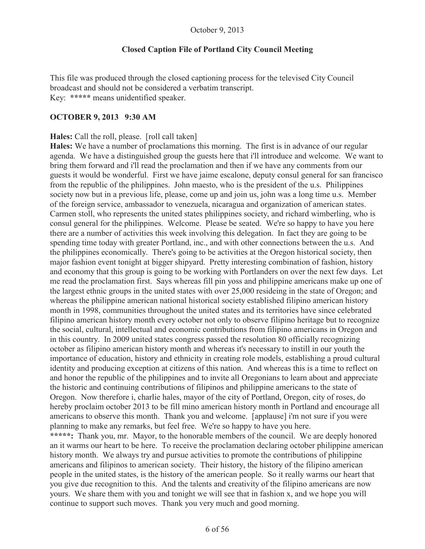#### **Closed Caption File of Portland City Council Meeting**

This file was produced through the closed captioning process for the televised City Council broadcast and should not be considered a verbatim transcript. Key: **\*\*\*\*\*** means unidentified speaker.

#### **OCTOBER 9, 2013 9:30 AM**

#### **Hales:** Call the roll, please. [roll call taken]

**Hales:** We have a number of proclamations this morning. The first is in advance of our regular agenda. We have a distinguished group the guests here that i'll introduce and welcome. We want to bring them forward and i'll read the proclamation and then if we have any comments from our guests it would be wonderful. First we have jaime escalone, deputy consul general for san francisco from the republic of the philippines. John maesto, who is the president of the u.s. Philippines society now but in a previous life, please, come up and join us, john was a long time u.s. Member of the foreign service, ambassador to venezuela, nicaragua and organization of american states. Carmen stoll, who represents the united states philippines society, and richard wimberling, who is consul general for the philippines. Welcome. Please be seated. We're so happy to have you here there are a number of activities this week involving this delegation. In fact they are going to be spending time today with greater Portland, inc., and with other connections between the u.s. And the philippines economically. There's going to be activities at the Oregon historical society, then major fashion event tonight at bigger shipyard. Pretty interesting combination of fashion, history and economy that this group is going to be working with Portlanders on over the next few days. Let me read the proclamation first. Says whereas fill pin yoss and philippine americans make up one of the largest ethnic groups in the united states with over 25,000 resideing in the state of Oregon; and whereas the philippine american national historical society established filipino american history month in 1998, communities throughout the united states and its territories have since celebrated filipino american history month every october not only to observe filipino heritage but to recognize the social, cultural, intellectual and economic contributions from filipino americans in Oregon and in this country. In 2009 united states congress passed the resolution 80 officially recognizing october as filipino american history month and whereas it's necessary to instill in our youth the importance of education, history and ethnicity in creating role models, establishing a proud cultural identity and producing exception at citizens of this nation. And whereas this is a time to reflect on and honor the republic of the philippines and to invite all Oregonians to learn about and appreciate the historic and continuing contributions of filipinos and philippine americans to the state of Oregon. Now therefore i, charlie hales, mayor of the city of Portland, Oregon, city of roses, do hereby proclaim october 2013 to be fill mino american history month in Portland and encourage all americans to observe this month. Thank you and welcome. [applause] i'm not sure if you were planning to make any remarks, but feel free. We're so happy to have you here. **\*\*\*\*\*:** Thank you, mr. Mayor, to the honorable members of the council. We are deeply honored an it warms our heart to be here. To receive the proclamation declaring october philippine american history month. We always try and pursue activities to promote the contributions of philippine americans and filipinos to american society. Their history, the history of the filipino american

people in the united states, is the history of the american people. So it really warms our heart that you give due recognition to this. And the talents and creativity of the filipino americans are now yours. We share them with you and tonight we will see that in fashion x, and we hope you will continue to support such moves. Thank you very much and good morning.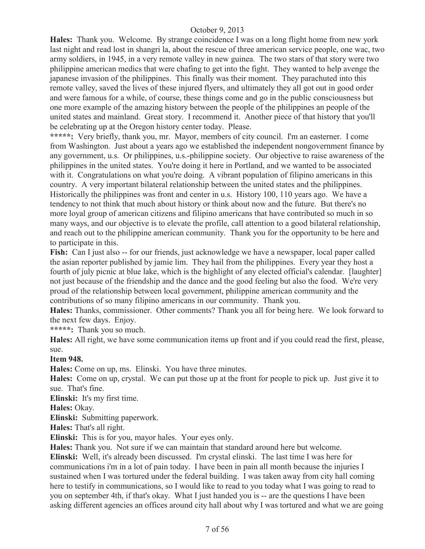**Hales:** Thank you. Welcome. By strange coincidence I was on a long flight home from new york last night and read lost in shangri la, about the rescue of three american service people, one wac, two army soldiers, in 1945, in a very remote valley in new guinea. The two stars of that story were two philippine american medics that were chafing to get into the fight. They wanted to help avenge the japanese invasion of the philippines. This finally was their moment. They parachuted into this remote valley, saved the lives of these injured flyers, and ultimately they all got out in good order and were famous for a while, of course, these things come and go in the public consciousness but one more example of the amazing history between the people of the philippines an people of the united states and mainland. Great story. I recommend it. Another piece of that history that you'll be celebrating up at the Oregon history center today. Please.

**\*\*\*\*\*:** Very briefly, thank you, mr. Mayor, members of city council. I'm an easterner. I come from Washington. Just about a years ago we established the independent nongovernment finance by any government, u.s. Or philippines, u.s.-philippine society. Our objective to raise awareness of the philippines in the united states. You're doing it here in Portland, and we wanted to be associated with it. Congratulations on what you're doing. A vibrant population of filipino americans in this country. A very important bilateral relationship between the united states and the philippines. Historically the philippines was front and center in u.s. History 100, 110 years ago. We have a tendency to not think that much about history or think about now and the future. But there's no more loyal group of american citizens and filipino americans that have contributed so much in so many ways, and our objective is to elevate the profile, call attention to a good bilateral relationship, and reach out to the philippine american community. Thank you for the opportunity to be here and to participate in this.

**Fish:** Can I just also -- for our friends, just acknowledge we have a newspaper, local paper called the asian reporter published by jamie lim. They hail from the philippines. Every year they host a fourth of july picnic at blue lake, which is the highlight of any elected official's calendar. [laughter] not just because of the friendship and the dance and the good feeling but also the food. We're very proud of the relationship between local government, philippine american community and the contributions of so many filipino americans in our community. Thank you.

**Hales:** Thanks, commissioner. Other comments? Thank you all for being here. We look forward to the next few days. Enjoy.

**\*\*\*\*\*:** Thank you so much.

**Hales:** All right, we have some communication items up front and if you could read the first, please, sue.

## **Item 948.**

**Hales:** Come on up, ms. Elinski. You have three minutes.

**Hales:** Come on up, crystal. We can put those up at the front for people to pick up. Just give it to sue. That's fine.

**Elinski:** It's my first time.

**Hales:** Okay.

**Elinski:** Submitting paperwork.

**Hales:** That's all right.

**Elinski:** This is for you, mayor hales. Your eyes only.

**Hales:** Thank you. Not sure if we can maintain that standard around here but welcome.

**Elinski:** Well, it's already been discussed. I'm crystal elinski. The last time I was here for communications i'm in a lot of pain today. I have been in pain all month because the injuries I sustained when I was tortured under the federal building. I was taken away from city hall coming here to testify in communications, so I would like to read to you today what I was going to read to you on september 4th, if that's okay. What I just handed you is -- are the questions I have been asking different agencies an offices around city hall about why I was tortured and what we are going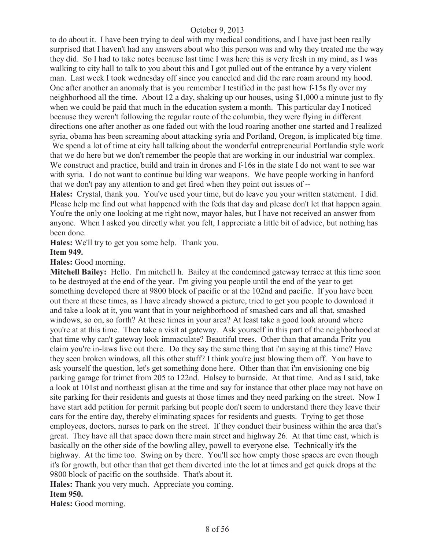to do about it. I have been trying to deal with my medical conditions, and I have just been really surprised that I haven't had any answers about who this person was and why they treated me the way they did. So I had to take notes because last time I was here this is very fresh in my mind, as I was walking to city hall to talk to you about this and I got pulled out of the entrance by a very violent man. Last week I took wednesday off since you canceled and did the rare roam around my hood. One after another an anomaly that is you remember I testified in the past how f-15s fly over my neighborhood all the time. About 12 a day, shaking up our houses, using \$1,000 a minute just to fly when we could be paid that much in the education system a month. This particular day I noticed because they weren't following the regular route of the columbia, they were flying in different directions one after another as one faded out with the loud roaring another one started and I realized syria, obama has been screaming about attacking syria and Portland, Oregon, is implicated big time.

We spend a lot of time at city hall talking about the wonderful entrepreneurial Portlandia style work that we do here but we don't remember the people that are working in our industrial war complex. We construct and practice, build and train in drones and f-16s in the state I do not want to see war with syria. I do not want to continue building war weapons. We have people working in hanford that we don't pay any attention to and get fired when they point out issues of --

**Hales:** Crystal, thank you. You've used your time, but do leave you your written statement. I did. Please help me find out what happened with the feds that day and please don't let that happen again. You're the only one looking at me right now, mayor hales, but I have not received an answer from anyone. When I asked you directly what you felt, I appreciate a little bit of advice, but nothing has been done.

**Hales:** We'll try to get you some help. Thank you.

#### **Item 949.**

#### **Hales:** Good morning.

**Mitchell Bailey:** Hello. I'm mitchell h. Bailey at the condemned gateway terrace at this time soon to be destroyed at the end of the year. I'm giving you people until the end of the year to get something developed there at 9800 block of pacific or at the 102nd and pacific. If you have been out there at these times, as I have already showed a picture, tried to get you people to download it and take a look at it, you want that in your neighborhood of smashed cars and all that, smashed windows, so on, so forth? At these times in your area? At least take a good look around where you're at at this time. Then take a visit at gateway. Ask yourself in this part of the neighborhood at that time why can't gateway look immaculate? Beautiful trees. Other than that amanda Fritz you claim you're in-laws live out there. Do they say the same thing that i'm saying at this time? Have they seen broken windows, all this other stuff? I think you're just blowing them off. You have to ask yourself the question, let's get something done here. Other than that i'm envisioning one big parking garage for trimet from 205 to 122nd. Halsey to burnside. At that time. And as I said, take a look at 101st and northeast glisan at the time and say for instance that other place may not have on site parking for their residents and guests at those times and they need parking on the street. Now I have start add petition for permit parking but people don't seem to understand there they leave their cars for the entire day, thereby eliminating spaces for residents and guests. Trying to get those employees, doctors, nurses to park on the street. If they conduct their business within the area that's great. They have all that space down there main street and highway 26. At that time east, which is basically on the other side of the bowling alley, powell to everyone else. Technically it's the highway. At the time too. Swing on by there. You'll see how empty those spaces are even though it's for growth, but other than that get them diverted into the lot at times and get quick drops at the 9800 block of pacific on the southside. That's about it.

**Hales:** Thank you very much. Appreciate you coming.

#### **Item 950.**

**Hales:** Good morning.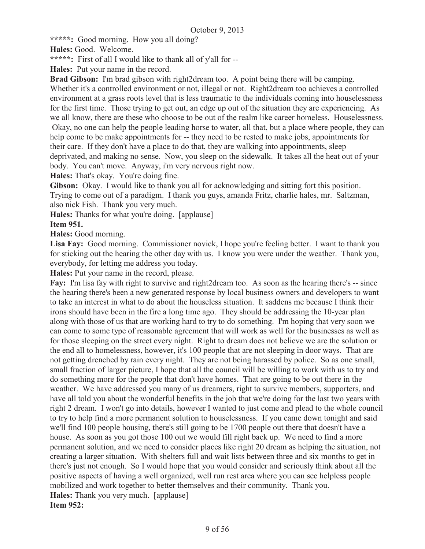**\*\*\*\*\*:** Good morning. How you all doing?

**Hales:** Good. Welcome.

**\*\*\*\*\*:** First of all I would like to thank all of y'all for --

**Hales:** Put your name in the record.

**Brad Gibson:** I'm brad gibson with right2dream too. A point being there will be camping. Whether it's a controlled environment or not, illegal or not. Right2dream too achieves a controlled environment at a grass roots level that is less traumatic to the individuals coming into houselessness for the first time. Those trying to get out, an edge up out of the situation they are experiencing. As we all know, there are these who choose to be out of the realm like career homeless. Houselessness. Okay, no one can help the people leading horse to water, all that, but a place where people, they can help come to be make appointments for -- they need to be rested to make jobs, appointments for their care. If they don't have a place to do that, they are walking into appointments, sleep deprivated, and making no sense. Now, you sleep on the sidewalk. It takes all the heat out of your body. You can't move. Anyway, i'm very nervous right now.

**Hales:** That's okay. You're doing fine.

**Gibson:** Okay. I would like to thank you all for acknowledging and sitting fort this position. Trying to come out of a paradigm. I thank you guys, amanda Fritz, charlie hales, mr. Saltzman, also nick Fish. Thank you very much.

**Hales:** Thanks for what you're doing. [applause]

## **Item 951.**

**Hales:** Good morning.

**Lisa Fay:** Good morning. Commissioner novick, I hope you're feeling better. I want to thank you for sticking out the hearing the other day with us. I know you were under the weather. Thank you, everybody, for letting me address you today.

**Hales:** Put your name in the record, please.

**Fay:** I'm lisa fay with right to survive and right2dream too. As soon as the hearing there's -- since the hearing there's been a new generated response by local business owners and developers to want to take an interest in what to do about the houseless situation. It saddens me because I think their irons should have been in the fire a long time ago. They should be addressing the 10-year plan along with those of us that are working hard to try to do something. I'm hoping that very soon we can come to some type of reasonable agreement that will work as well for the businesses as well as for those sleeping on the street every night. Right to dream does not believe we are the solution or the end all to homelessness, however, it's 100 people that are not sleeping in door ways. That are not getting drenched by rain every night. They are not being harassed by police. So as one small, small fraction of larger picture, I hope that all the council will be willing to work with us to try and do something more for the people that don't have homes. That are going to be out there in the weather. We have addressed you many of us dreamers, right to survive members, supporters, and have all told you about the wonderful benefits in the job that we're doing for the last two years with right 2 dream. I won't go into details, however I wanted to just come and plead to the whole council to try to help find a more permanent solution to houselessness. If you came down tonight and said we'll find 100 people housing, there's still going to be 1700 people out there that doesn't have a house. As soon as you got those 100 out we would fill right back up. We need to find a more permanent solution, and we need to consider places like right 20 dream as helping the situation, not creating a larger situation. With shelters full and wait lists between three and six months to get in there's just not enough. So I would hope that you would consider and seriously think about all the positive aspects of having a well organized, well run rest area where you can see helpless people mobilized and work together to better themselves and their community. Thank you. **Hales:** Thank you very much. [applause] **Item 952:**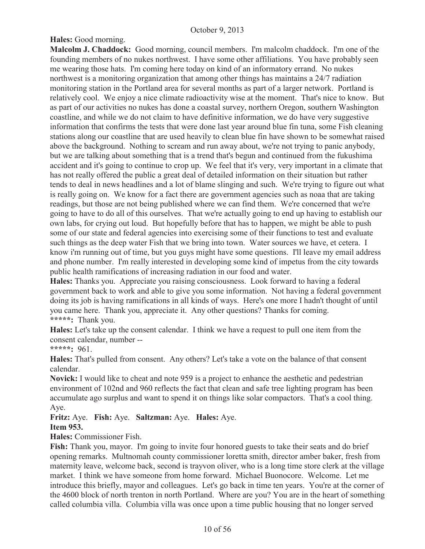## **Hales:** Good morning.

**Malcolm J. Chaddock:** Good morning, council members. I'm malcolm chaddock. I'm one of the founding members of no nukes northwest. I have some other affiliations. You have probably seen me wearing those hats. I'm coming here today on kind of an informatory errand. No nukes northwest is a monitoring organization that among other things has maintains a 24/7 radiation monitoring station in the Portland area for several months as part of a larger network. Portland is relatively cool. We enjoy a nice climate radioactivity wise at the moment. That's nice to know. But as part of our activities no nukes has done a coastal survey, northern Oregon, southern Washington coastline, and while we do not claim to have definitive information, we do have very suggestive information that confirms the tests that were done last year around blue fin tuna, some Fish cleaning stations along our coastline that are used heavily to clean blue fin have shown to be somewhat raised above the background. Nothing to scream and run away about, we're not trying to panic anybody, but we are talking about something that is a trend that's begun and continued from the fukushima accident and it's going to continue to crop up. We feel that it's very, very important in a climate that has not really offered the public a great deal of detailed information on their situation but rather tends to deal in news headlines and a lot of blame slinging and such. We're trying to figure out what is really going on. We know for a fact there are government agencies such as noaa that are taking readings, but those are not being published where we can find them. We're concerned that we're going to have to do all of this ourselves. That we're actually going to end up having to establish our own labs, for crying out loud. But hopefully before that has to happen, we might be able to push some of our state and federal agencies into exercising some of their functions to test and evaluate such things as the deep water Fish that we bring into town. Water sources we have, et cetera. I know i'm running out of time, but you guys might have some questions. I'll leave my email address and phone number. I'm really interested in developing some kind of impetus from the city towards public health ramifications of increasing radiation in our food and water.

**Hales:** Thanks you. Appreciate you raising consciousness. Look forward to having a federal government back to work and able to give you some information. Not having a federal government doing its job is having ramifications in all kinds of ways. Here's one more I hadn't thought of until you came here. Thank you, appreciate it. Any other questions? Thanks for coming. **\*\*\*\*\*:** Thank you.

**Hales:** Let's take up the consent calendar. I think we have a request to pull one item from the consent calendar, number --

**\*\*\*\*\*:** 961.

**Hales:** That's pulled from consent. Any others? Let's take a vote on the balance of that consent calendar.

**Novick:** I would like to cheat and note 959 is a project to enhance the aesthetic and pedestrian environment of 102nd and 960 reflects the fact that clean and safe tree lighting program has been accumulate ago surplus and want to spend it on things like solar compactors. That's a cool thing. Aye.

## **Fritz:** Aye. **Fish:** Aye. **Saltzman:** Aye. **Hales:** Aye. **Item 953.**

**Hales:** Commissioner Fish.

**Fish:** Thank you, mayor. I'm going to invite four honored guests to take their seats and do brief opening remarks. Multnomah county commissioner loretta smith, director amber baker, fresh from maternity leave, welcome back, second is trayvon oliver, who is a long time store clerk at the village market. I think we have someone from home forward. Michael Buonocore. Welcome. Let me introduce this briefly, mayor and colleagues. Let's go back in time ten years. You're at the corner of the 4600 block of north trenton in north Portland. Where are you? You are in the heart of something called columbia villa. Columbia villa was once upon a time public housing that no longer served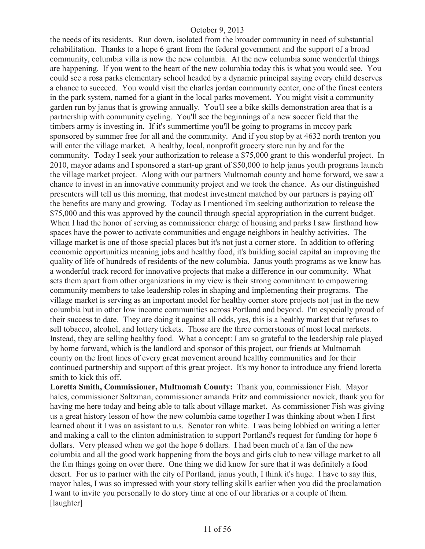the needs of its residents. Run down, isolated from the broader community in need of substantial rehabilitation. Thanks to a hope 6 grant from the federal government and the support of a broad community, columbia villa is now the new columbia. At the new columbia some wonderful things are happening. If you went to the heart of the new columbia today this is what you would see. You could see a rosa parks elementary school headed by a dynamic principal saying every child deserves a chance to succeed. You would visit the charles jordan community center, one of the finest centers in the park system, named for a giant in the local parks movement. You might visit a community garden run by janus that is growing annually. You'll see a bike skills demonstration area that is a partnership with community cycling. You'll see the beginnings of a new soccer field that the timbers army is investing in. If it's summertime you'll be going to programs in mccoy park sponsored by summer free for all and the community. And if you stop by at 4632 north trenton you will enter the village market. A healthy, local, nonprofit grocery store run by and for the community. Today I seek your authorization to release a \$75,000 grant to this wonderful project. In 2010, mayor adams and I sponsored a start-up grant of \$50,000 to help janus youth programs launch the village market project. Along with our partners Multnomah county and home forward, we saw a chance to invest in an innovative community project and we took the chance. As our distinguished presenters will tell us this morning, that modest investment matched by our partners is paying off the benefits are many and growing. Today as I mentioned i'm seeking authorization to release the \$75,000 and this was approved by the council through special appropriation in the current budget. When I had the honor of serving as commissioner charge of housing and parks I saw firsthand how spaces have the power to activate communities and engage neighbors in healthy activities. The village market is one of those special places but it's not just a corner store. In addition to offering economic opportunities meaning jobs and healthy food, it's building social capital an improving the quality of life of hundreds of residents of the new columbia. Janus youth programs as we know has a wonderful track record for innovative projects that make a difference in our community. What sets them apart from other organizations in my view is their strong commitment to empowering community members to take leadership roles in shaping and implementing their programs. The village market is serving as an important model for healthy corner store projects not just in the new columbia but in other low income communities across Portland and beyond. I'm especially proud of their success to date. They are doing it against all odds, yes, this is a healthy market that refuses to sell tobacco, alcohol, and lottery tickets. Those are the three cornerstones of most local markets. Instead, they are selling healthy food. What a concept: I am so grateful to the leadership role played by home forward, which is the landlord and sponsor of this project, our friends at Multnomah county on the front lines of every great movement around healthy communities and for their continued partnership and support of this great project. It's my honor to introduce any friend loretta smith to kick this off.

**Loretta Smith, Commissioner, Multnomah County:** Thank you, commissioner Fish. Mayor hales, commissioner Saltzman, commissioner amanda Fritz and commissioner novick, thank you for having me here today and being able to talk about village market. As commissioner Fish was giving us a great history lesson of how the new columbia came together I was thinking about when I first learned about it I was an assistant to u.s. Senator ron white. I was being lobbied on writing a letter and making a call to the clinton administration to support Portland's request for funding for hope 6 dollars. Very pleased when we got the hope 6 dollars. I had been much of a fan of the new columbia and all the good work happening from the boys and girls club to new village market to all the fun things going on over there. One thing we did know for sure that it was definitely a food desert. For us to partner with the city of Portland, janus youth, I think it's huge. I have to say this, mayor hales, I was so impressed with your story telling skills earlier when you did the proclamation I want to invite you personally to do story time at one of our libraries or a couple of them. [laughter]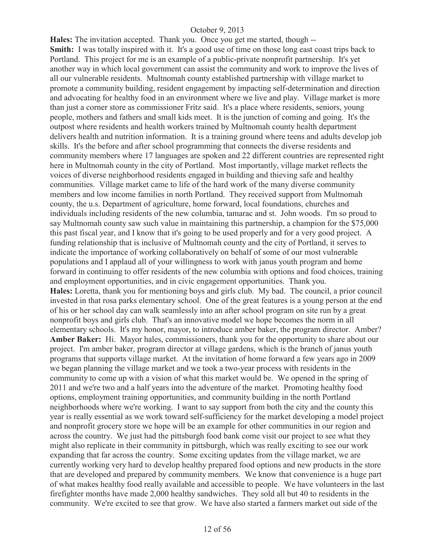**Hales:** The invitation accepted. Thank you. Once you get me started, though -- **Smith:** I was totally inspired with it. It's a good use of time on those long east coast trips back to Portland. This project for me is an example of a public-private nonprofit partnership. It's yet another way in which local government can assist the community and work to improve the lives of all our vulnerable residents. Multnomah county established partnership with village market to promote a community building, resident engagement by impacting self-determination and direction and advocating for healthy food in an environment where we live and play. Village market is more than just a corner store as commissioner Fritz said. It's a place where residents, seniors, young people, mothers and fathers and small kids meet. It is the junction of coming and going. It's the outpost where residents and health workers trained by Multnomah county health department delivers health and nutrition information. It is a training ground where teens and adults develop job skills. It's the before and after school programming that connects the diverse residents and community members where 17 languages are spoken and 22 different countries are represented right here in Multnomah county in the city of Portland. Most importantly, village market reflects the voices of diverse neighborhood residents engaged in building and thieving safe and healthy communities. Village market came to life of the hard work of the many diverse community members and low income families in north Portland. They received support from Multnomah county, the u.s. Department of agriculture, home forward, local foundations, churches and individuals including residents of the new columbia, tamarac and st. John woods. I'm so proud to say Multnomah county saw such value in maintaining this partnership, a champion for the \$75,000 this past fiscal year, and I know that it's going to be used properly and for a very good project. A funding relationship that is inclusive of Multnomah county and the city of Portland, it serves to indicate the importance of working collaboratively on behalf of some of our most vulnerable populations and I applaud all of your willingness to work with janus youth program and home forward in continuing to offer residents of the new columbia with options and food choices, training and employment opportunities, and in civic engagement opportunities. Thank you. **Hales:** Loretta, thank you for mentioning boys and girls club. My bad. The council, a prior council invested in that rosa parks elementary school. One of the great features is a young person at the end of his or her school day can walk seamlessly into an after school program on site run by a great nonprofit boys and girls club. That's an innovative model we hope becomes the norm in all elementary schools. It's my honor, mayor, to introduce amber baker, the program director. Amber? **Amber Baker:** Hi. Mayor hales, commissioners, thank you for the opportunity to share about our project. I'm amber baker, program director at village gardens, which is the branch of janus youth programs that supports village market. At the invitation of home forward a few years ago in 2009 we began planning the village market and we took a two-year process with residents in the community to come up with a vision of what this market would be. We opened in the spring of 2011 and we're two and a half years into the adventure of the market. Promoting healthy food options, employment training opportunities, and community building in the north Portland neighborhoods where we're working. I want to say support from both the city and the county this year is really essential as we work toward self-sufficiency for the market developing a model project and nonprofit grocery store we hope will be an example for other communities in our region and across the country. We just had the pittsburgh food bank come visit our project to see what they might also replicate in their community in pittsburgh, which was really exciting to see our work expanding that far across the country. Some exciting updates from the village market, we are currently working very hard to develop healthy prepared food options and new products in the store that are developed and prepared by community members. We know that convenience is a huge part of what makes healthy food really available and accessible to people. We have volunteers in the last firefighter months have made 2,000 healthy sandwiches. They sold all but 40 to residents in the community. We're excited to see that grow. We have also started a farmers market out side of the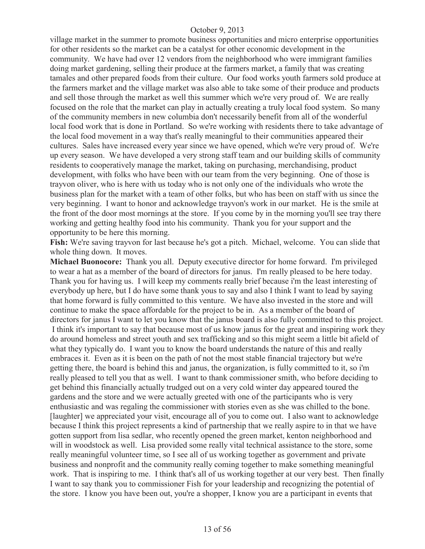village market in the summer to promote business opportunities and micro enterprise opportunities for other residents so the market can be a catalyst for other economic development in the community. We have had over 12 vendors from the neighborhood who were immigrant families doing market gardening, selling their produce at the farmers market, a family that was creating tamales and other prepared foods from their culture. Our food works youth farmers sold produce at the farmers market and the village market was also able to take some of their produce and products and sell those through the market as well this summer which we're very proud of. We are really focused on the role that the market can play in actually creating a truly local food system. So many of the community members in new columbia don't necessarily benefit from all of the wonderful local food work that is done in Portland. So we're working with residents there to take advantage of the local food movement in a way that's really meaningful to their communities appeared their cultures. Sales have increased every year since we have opened, which we're very proud of. We're up every season. We have developed a very strong staff team and our building skills of community residents to cooperatively manage the market, taking on purchasing, merchandising, product development, with folks who have been with our team from the very beginning. One of those is trayvon oliver, who is here with us today who is not only one of the individuals who wrote the business plan for the market with a team of other folks, but who has been on staff with us since the very beginning. I want to honor and acknowledge trayvon's work in our market. He is the smile at the front of the door most mornings at the store. If you come by in the morning you'll see tray there working and getting healthy food into his community. Thank you for your support and the opportunity to be here this morning.

**Fish:** We're saving trayvon for last because he's got a pitch. Michael, welcome. You can slide that whole thing down. It moves.

**Michael Buonocore:** Thank you all. Deputy executive director for home forward. I'm privileged to wear a hat as a member of the board of directors for janus. I'm really pleased to be here today. Thank you for having us. I will keep my comments really brief because i'm the least interesting of everybody up here, but I do have some thank yous to say and also I think I want to lead by saying that home forward is fully committed to this venture. We have also invested in the store and will continue to make the space affordable for the project to be in. As a member of the board of directors for janus I want to let you know that the janus board is also fully committed to this project. I think it's important to say that because most of us know janus for the great and inspiring work they do around homeless and street youth and sex trafficking and so this might seem a little bit afield of what they typically do. I want you to know the board understands the nature of this and really embraces it. Even as it is been on the path of not the most stable financial trajectory but we're getting there, the board is behind this and janus, the organization, is fully committed to it, so i'm really pleased to tell you that as well. I want to thank commissioner smith, who before deciding to get behind this financially actually trudged out on a very cold winter day appeared toured the gardens and the store and we were actually greeted with one of the participants who is very enthusiastic and was regaling the commissioner with stories even as she was chilled to the bone. [laughter] we appreciated your visit, encourage all of you to come out. I also want to acknowledge because I think this project represents a kind of partnership that we really aspire to in that we have gotten support from lisa sedlar, who recently opened the green market, kenton neighborhood and will in woodstock as well. Lisa provided some really vital technical assistance to the store, some really meaningful volunteer time, so I see all of us working together as government and private business and nonprofit and the community really coming together to make something meaningful work. That is inspiring to me. I think that's all of us working together at our very best. Then finally I want to say thank you to commissioner Fish for your leadership and recognizing the potential of the store. I know you have been out, you're a shopper, I know you are a participant in events that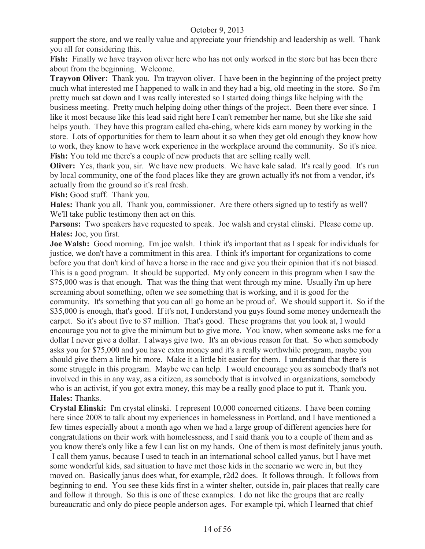support the store, and we really value and appreciate your friendship and leadership as well. Thank you all for considering this.

**Fish:** Finally we have trayvon oliver here who has not only worked in the store but has been there about from the beginning. Welcome.

**Trayvon Oliver:** Thank you. I'm trayvon oliver. I have been in the beginning of the project pretty much what interested me I happened to walk in and they had a big, old meeting in the store. So i'm pretty much sat down and I was really interested so I started doing things like helping with the business meeting. Pretty much helping doing other things of the project. Been there ever since. I like it most because like this lead said right here I can't remember her name, but she like she said helps youth. They have this program called cha-ching, where kids earn money by working in the store. Lots of opportunities for them to learn about it so when they get old enough they know how to work, they know to have work experience in the workplace around the community. So it's nice. **Fish:** You told me there's a couple of new products that are selling really well.

**Oliver:** Yes, thank you, sir. We have new products. We have kale salad. It's really good. It's run by local community, one of the food places like they are grown actually it's not from a vendor, it's actually from the ground so it's real fresh.

**Fish:** Good stuff. Thank you.

**Hales:** Thank you all. Thank you, commissioner. Are there others signed up to testify as well? We'll take public testimony then act on this.

**Parsons:** Two speakers have requested to speak. Joe walsh and crystal elinski. Please come up. **Hales:** Joe, you first.

**Joe Walsh:** Good morning. I'm joe walsh. I think it's important that as I speak for individuals for justice, we don't have a commitment in this area. I think it's important for organizations to come before you that don't kind of have a horse in the race and give you their opinion that it's not biased. This is a good program. It should be supported. My only concern in this program when I saw the \$75,000 was is that enough. That was the thing that went through my mine. Usually i'm up here screaming about something, often we see something that is working, and it is good for the community. It's something that you can all go home an be proud of. We should support it. So if the \$35,000 is enough, that's good. If it's not, I understand you guys found some money underneath the carpet. So it's about five to \$7 million. That's good. These programs that you look at, I would encourage you not to give the minimum but to give more. You know, when someone asks me for a dollar I never give a dollar. I always give two. It's an obvious reason for that. So when somebody asks you for \$75,000 and you have extra money and it's a really worthwhile program, maybe you should give them a little bit more. Make it a little bit easier for them. I understand that there is some struggle in this program. Maybe we can help. I would encourage you as somebody that's not involved in this in any way, as a citizen, as somebody that is involved in organizations, somebody who is an activist, if you got extra money, this may be a really good place to put it. Thank you. **Hales:** Thanks.

**Crystal Elinski:** I'm crystal elinski. I represent 10,000 concerned citizens. I have been coming here since 2008 to talk about my experiences in homelessness in Portland, and I have mentioned a few times especially about a month ago when we had a large group of different agencies here for congratulations on their work with homelessness, and I said thank you to a couple of them and as you know there's only like a few I can list on my hands. One of them is most definitely janus youth. I call them yanus, because I used to teach in an international school called yanus, but I have met some wonderful kids, sad situation to have met those kids in the scenario we were in, but they moved on. Basically janus does what, for example, r2d2 does. It follows through. It follows from beginning to end. You see these kids first in a winter shelter, outside in, pair places that really care and follow it through. So this is one of these examples. I do not like the groups that are really bureaucratic and only do piece people anderson ages. For example tpi, which I learned that chief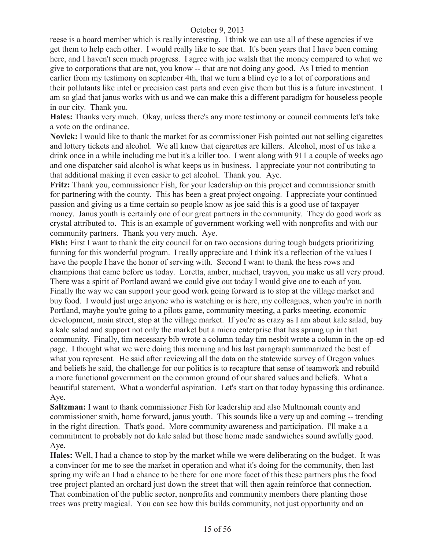reese is a board member which is really interesting. I think we can use all of these agencies if we get them to help each other. I would really like to see that. It's been years that I have been coming here, and I haven't seen much progress. I agree with joe walsh that the money compared to what we give to corporations that are not, you know -- that are not doing any good. As I tried to mention earlier from my testimony on september 4th, that we turn a blind eye to a lot of corporations and their pollutants like intel or precision cast parts and even give them but this is a future investment. I am so glad that janus works with us and we can make this a different paradigm for houseless people in our city. Thank you.

**Hales:** Thanks very much. Okay, unless there's any more testimony or council comments let's take a vote on the ordinance.

**Novick:** I would like to thank the market for as commissioner Fish pointed out not selling cigarettes and lottery tickets and alcohol. We all know that cigarettes are killers. Alcohol, most of us take a drink once in a while including me but it's a killer too. I went along with 911 a couple of weeks ago and one dispatcher said alcohol is what keeps us in business. I appreciate your not contributing to that additional making it even easier to get alcohol. Thank you. Aye.

**Fritz:** Thank you, commissioner Fish, for your leadership on this project and commissioner smith for partnering with the county. This has been a great project ongoing. I appreciate your continued passion and giving us a time certain so people know as joe said this is a good use of taxpayer money. Janus youth is certainly one of our great partners in the community. They do good work as crystal attributed to. This is an example of government working well with nonprofits and with our community partners. Thank you very much. Aye.

**Fish:** First I want to thank the city council for on two occasions during tough budgets prioritizing funning for this wonderful program. I really appreciate and I think it's a reflection of the values I have the people I have the honor of serving with. Second I want to thank the hess rows and champions that came before us today. Loretta, amber, michael, trayvon, you make us all very proud. There was a spirit of Portland award we could give out today I would give one to each of you. Finally the way we can support your good work going forward is to stop at the village market and buy food. I would just urge anyone who is watching or is here, my colleagues, when you're in north Portland, maybe you're going to a pilots game, community meeting, a parks meeting, economic development, main street, stop at the village market. If you're as crazy as I am about kale salad, buy a kale salad and support not only the market but a micro enterprise that has sprung up in that community. Finally, tim necessary bib wrote a column today tim nesbit wrote a column in the op-ed page. I thought what we were doing this morning and his last paragraph summarized the best of what you represent. He said after reviewing all the data on the statewide survey of Oregon values and beliefs he said, the challenge for our politics is to recapture that sense of teamwork and rebuild a more functional government on the common ground of our shared values and beliefs. What a beautiful statement. What a wonderful aspiration. Let's start on that today bypassing this ordinance. Aye.

**Saltzman:** I want to thank commissioner Fish for leadership and also Multnomah county and commissioner smith, home forward, janus youth. This sounds like a very up and coming -- trending in the right direction. That's good. More community awareness and participation. I'll make a a commitment to probably not do kale salad but those home made sandwiches sound awfully good. Aye.

**Hales:** Well, I had a chance to stop by the market while we were deliberating on the budget. It was a convincer for me to see the market in operation and what it's doing for the community, then last spring my wife an I had a chance to be there for one more facet of this these partners plus the food tree project planted an orchard just down the street that will then again reinforce that connection. That combination of the public sector, nonprofits and community members there planting those trees was pretty magical. You can see how this builds community, not just opportunity and an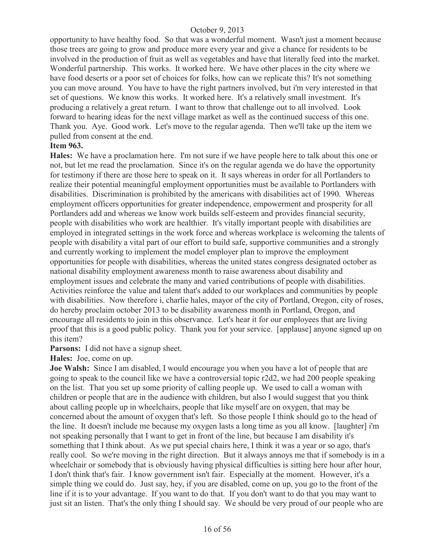opportunity to have healthy food. So that was a wonderful moment. Wasn't just a moment because those trees are going to grow and produce more every year and give a chance for residents to be involved in the production of fruit as well as vegetables and have that literally feed into the market. Wonderful partnership. This works. It worked here. We have other places in the city where we have food deserts or a poor set of choices for folks, how can we replicate this? It's not something you can move around. You have to have the right partners involved, but i'm very interested in that set of questions. We know this works. It worked here. It's a relatively small investment. It's producing a relatively a great return. I want to throw that challenge out to all involved. Look forward to hearing ideas for the next village market as well as the continued success of this one. Thank you. Aye. Good work. Let's move to the regular agenda. Then we'll take up the item we pulled from consent at the end.

#### **Item 963.**

**Hales:** We have a proclamation here. I'm not sure if we have people here to talk about this one or not, but let me read the proclamation. Since it's on the regular agenda we do have the opportunity for testimony if there are those here to speak on it. It says whereas in order for all Portlanders to realize their potential meaningful employment opportunities must be available to Portlanders with disabilities. Discrimination is prohibited by the americans with disabilities act of 1990. Whereas employment officers opportunities for greater independence, empowerment and prosperity for all Portlanders add and whereas we know work builds self-esteem and provides financial security, people with disabilities who work are healthier. It's vitally important people with disabilities are employed in integrated settings in the work force and whereas workplace is welcoming the talents of people with disability a vital part of our effort to build safe, supportive communities and a strongly and currently working to implement the model employer plan to improve the employment opportunities for people with disabilities, whereas the united states congress designated october as national disability employment awareness month to raise awareness about disability and employment issues and celebrate the many and varied contributions of people with disabilities. Activities reinforce the value and talent that's added to our workplaces and communities by people with disabilities. Now therefore i, charlie hales, mayor of the city of Portland, Oregon, city of roses, do hereby proclaim october 2013 to be disability awareness month in Portland, Oregon, and encourage all residents to join in this observance. Let's hear it for our employees that are living proof that this is a good public policy. Thank you for your service. [applause] anyone signed up on this item?

**Parsons:** I did not have a signup sheet.

**Hales:** Joe, come on up.

**Joe Walsh:** Since I am disabled, I would encourage you when you have a lot of people that are going to speak to the council like we have a controversial topic r2d2, we had 200 people speaking on the list. That you set up some priority of calling people up. We used to call a woman with children or people that are in the audience with children, but also I would suggest that you think about calling people up in wheelchairs, people that like myself are on oxygen, that may be concerned about the amount of oxygen that's left. So those people I think should go to the head of the line. It doesn't include me because my oxygen lasts a long time as you all know. [laughter] i'm not speaking personally that I want to get in front of the line, but because I am disability it's something that I think about. As we put special chairs here, I think it was a year or so ago, that's really cool. So we're moving in the right direction. But it always annoys me that if somebody is in a wheelchair or somebody that is obviously having physical difficulties is sitting here hour after hour, I don't think that's fair. I know government isn't fair. Especially at the moment. However, it's a simple thing we could do. Just say, hey, if you are disabled, come on up, you go to the front of the line if it is to your advantage. If you want to do that. If you don't want to do that you may want to just sit an listen. That's the only thing I should say. We should be very proud of our people who are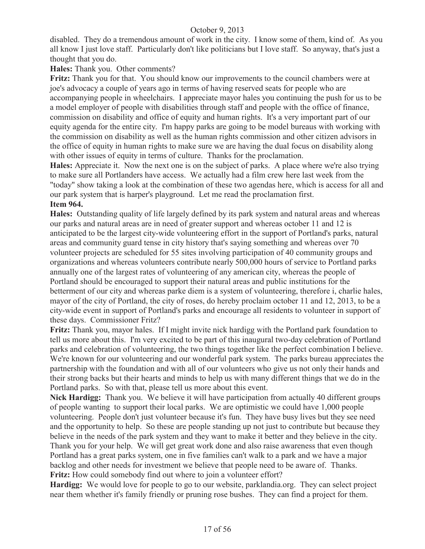disabled. They do a tremendous amount of work in the city. I know some of them, kind of. As you all know I just love staff. Particularly don't like politicians but I love staff. So anyway, that's just a thought that you do.

**Hales:** Thank you. Other comments?

**Fritz:** Thank you for that. You should know our improvements to the council chambers were at joe's advocacy a couple of years ago in terms of having reserved seats for people who are accompanying people in wheelchairs. I appreciate mayor hales you continuing the push for us to be a model employer of people with disabilities through staff and people with the office of finance, commission on disability and office of equity and human rights. It's a very important part of our equity agenda for the entire city. I'm happy parks are going to be model bureaus with working with the commission on disability as well as the human rights commission and other citizen advisors in the office of equity in human rights to make sure we are having the dual focus on disability along with other issues of equity in terms of culture. Thanks for the proclamation.

**Hales:** Appreciate it. Now the next one is on the subject of parks. A place where we're also trying to make sure all Portlanders have access. We actually had a film crew here last week from the "today" show taking a look at the combination of these two agendas here, which is access for all and our park system that is harper's playground. Let me read the proclamation first.

## **Item 964.**

**Hales:** Outstanding quality of life largely defined by its park system and natural areas and whereas our parks and natural areas are in need of greater support and whereas october 11 and 12 is anticipated to be the largest city-wide volunteering effort in the support of Portland's parks, natural areas and community guard tense in city history that's saying something and whereas over 70 volunteer projects are scheduled for 55 sites involving participation of 40 community groups and organizations and whereas volunteers contribute nearly 500,000 hours of service to Portland parks annually one of the largest rates of volunteering of any american city, whereas the people of Portland should be encouraged to support their natural areas and public institutions for the betterment of our city and whereas parke diem is a system of volunteering, therefore i, charlie hales, mayor of the city of Portland, the city of roses, do hereby proclaim october 11 and 12, 2013, to be a city-wide event in support of Portland's parks and encourage all residents to volunteer in support of these days. Commissioner Fritz?

**Fritz:** Thank you, mayor hales. If I might invite nick hardigg with the Portland park foundation to tell us more about this. I'm very excited to be part of this inaugural two-day celebration of Portland parks and celebration of volunteering, the two things together like the perfect combination I believe. We're known for our volunteering and our wonderful park system. The parks bureau appreciates the partnership with the foundation and with all of our volunteers who give us not only their hands and their strong backs but their hearts and minds to help us with many different things that we do in the Portland parks. So with that, please tell us more about this event.

**Nick Hardigg:** Thank you. We believe it will have participation from actually 40 different groups of people wanting to support their local parks. We are optimistic we could have 1,000 people volunteering. People don't just volunteer because it's fun. They have busy lives but they see need and the opportunity to help. So these are people standing up not just to contribute but because they believe in the needs of the park system and they want to make it better and they believe in the city. Thank you for your help. We will get great work done and also raise awareness that even though Portland has a great parks system, one in five families can't walk to a park and we have a major backlog and other needs for investment we believe that people need to be aware of. Thanks. **Fritz:** How could somebody find out where to join a volunteer effort?

**Hardigg:** We would love for people to go to our website, parklandia.org. They can select project near them whether it's family friendly or pruning rose bushes. They can find a project for them.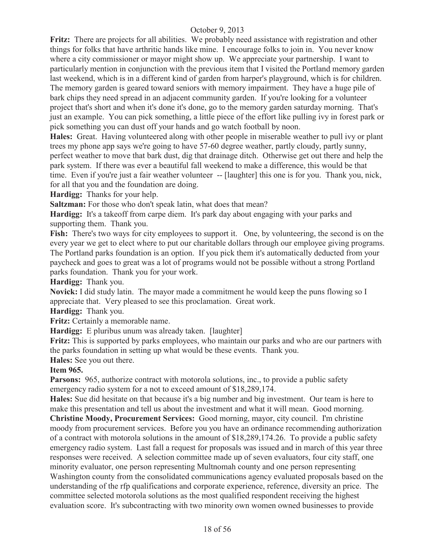**Fritz:** There are projects for all abilities. We probably need assistance with registration and other things for folks that have arthritic hands like mine. I encourage folks to join in. You never know where a city commissioner or mayor might show up. We appreciate your partnership. I want to particularly mention in conjunction with the previous item that I visited the Portland memory garden last weekend, which is in a different kind of garden from harper's playground, which is for children. The memory garden is geared toward seniors with memory impairment. They have a huge pile of bark chips they need spread in an adjacent community garden. If you're looking for a volunteer project that's short and when it's done it's done, go to the memory garden saturday morning. That's just an example. You can pick something, a little piece of the effort like pulling ivy in forest park or pick something you can dust off your hands and go watch football by noon.

**Hales:** Great. Having volunteered along with other people in miserable weather to pull ivy or plant trees my phone app says we're going to have 57-60 degree weather, partly cloudy, partly sunny, perfect weather to move that bark dust, dig that drainage ditch. Otherwise get out there and help the park system. If there was ever a beautiful fall weekend to make a difference, this would be that time. Even if you're just a fair weather volunteer -- [laughter] this one is for you. Thank you, nick, for all that you and the foundation are doing.

**Hardigg:** Thanks for your help.

**Saltzman:** For those who don't speak latin, what does that mean?

**Hardigg:** It's a takeoff from carpe diem. It's park day about engaging with your parks and supporting them. Thank you.

**Fish:** There's two ways for city employees to support it. One, by volunteering, the second is on the every year we get to elect where to put our charitable dollars through our employee giving programs. The Portland parks foundation is an option. If you pick them it's automatically deducted from your paycheck and goes to great was a lot of programs would not be possible without a strong Portland parks foundation. Thank you for your work.

**Hardigg:** Thank you.

**Novick:** I did study latin. The mayor made a commitment he would keep the puns flowing so I appreciate that. Very pleased to see this proclamation. Great work.

**Hardigg:** Thank you.

**Fritz:** Certainly a memorable name.

**Hardigg:** E pluribus unum was already taken. [laughter]

**Fritz:** This is supported by parks employees, who maintain our parks and who are our partners with the parks foundation in setting up what would be these events. Thank you.

**Hales:** See you out there.

## **Item 965.**

**Parsons:** 965, authorize contract with motorola solutions, inc., to provide a public safety emergency radio system for a not to exceed amount of \$18,289,174.

**Hales:** Sue did hesitate on that because it's a big number and big investment. Our team is here to make this presentation and tell us about the investment and what it will mean. Good morning.

**Christine Moody, Procurement Services:** Good morning, mayor, city council. I'm christine moody from procurement services. Before you you have an ordinance recommending authorization of a contract with motorola solutions in the amount of \$18,289,174.26. To provide a public safety emergency radio system. Last fall a request for proposals was issued and in march of this year three responses were received. A selection committee made up of seven evaluators, four city staff, one minority evaluator, one person representing Multnomah county and one person representing Washington county from the consolidated communications agency evaluated proposals based on the understanding of the rfp qualifications and corporate experience, reference, diversity an price. The committee selected motorola solutions as the most qualified respondent receiving the highest evaluation score. It's subcontracting with two minority own women owned businesses to provide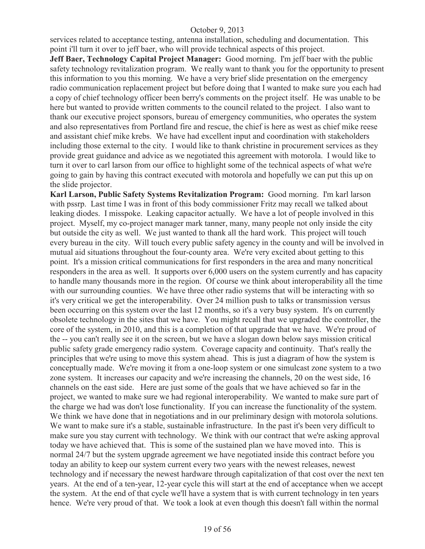services related to acceptance testing, antenna installation, scheduling and documentation. This point i'll turn it over to jeff baer, who will provide technical aspects of this project.

**Jeff Baer, Technology Capital Project Manager:** Good morning. I'm jeff baer with the public safety technology revitalization program. We really want to thank you for the opportunity to present this information to you this morning. We have a very brief slide presentation on the emergency radio communication replacement project but before doing that I wanted to make sure you each had a copy of chief technology officer been berry's comments on the project itself. He was unable to be here but wanted to provide written comments to the council related to the project. I also want to thank our executive project sponsors, bureau of emergency communities, who operates the system and also representatives from Portland fire and rescue, the chief is here as west as chief mike reese and assistant chief mike krebs. We have had excellent input and coordination with stakeholders including those external to the city. I would like to thank christine in procurement services as they provide great guidance and advice as we negotiated this agreement with motorola. I would like to turn it over to carl larson from our office to highlight some of the technical aspects of what we're going to gain by having this contract executed with motorola and hopefully we can put this up on the slide projector.

**Karl Larson, Public Safety Systems Revitalization Program:** Good morning. I'm karl larson with pssrp. Last time I was in front of this body commissioner Fritz may recall we talked about leaking diodes. I misspoke. Leaking capacitor actually. We have a lot of people involved in this project. Myself, my co-project manager mark tanner, many, many people not only inside the city but outside the city as well. We just wanted to thank all the hard work. This project will touch every bureau in the city. Will touch every public safety agency in the county and will be involved in mutual aid situations throughout the four-county area. We're very excited about getting to this point. It's a mission critical communications for first responders in the area and many noncritical responders in the area as well. It supports over 6,000 users on the system currently and has capacity to handle many thousands more in the region. Of course we think about interoperability all the time with our surrounding counties. We have three other radio systems that will be interacting with so it's very critical we get the interoperability. Over 24 million push to talks or transmission versus been occurring on this system over the last 12 months, so it's a very busy system. It's on currently obsolete technology in the sites that we have. You might recall that we upgraded the controller, the core of the system, in 2010, and this is a completion of that upgrade that we have. We're proud of the -- you can't really see it on the screen, but we have a slogan down below says mission critical public safety grade emergency radio system. Coverage capacity and continuity. That's really the principles that we're using to move this system ahead. This is just a diagram of how the system is conceptually made. We're moving it from a one-loop system or one simulcast zone system to a two zone system. It increases our capacity and we're increasing the channels, 20 on the west side, 16 channels on the east side. Here are just some of the goals that we have achieved so far in the project, we wanted to make sure we had regional interoperability. We wanted to make sure part of the charge we had was don't lose functionality. If you can increase the functionality of the system. We think we have done that in negotiations and in our preliminary design with motorola solutions. We want to make sure it's a stable, sustainable infrastructure. In the past it's been very difficult to make sure you stay current with technology. We think with our contract that we're asking approval today we have achieved that. This is some of the sustained plan we have moved into. This is normal 24/7 but the system upgrade agreement we have negotiated inside this contract before you today an ability to keep our system current every two years with the newest releases, newest technology and if necessary the newest hardware through capitalization of that cost over the next ten years. At the end of a ten-year, 12-year cycle this will start at the end of acceptance when we accept the system. At the end of that cycle we'll have a system that is with current technology in ten years hence. We're very proud of that. We took a look at even though this doesn't fall within the normal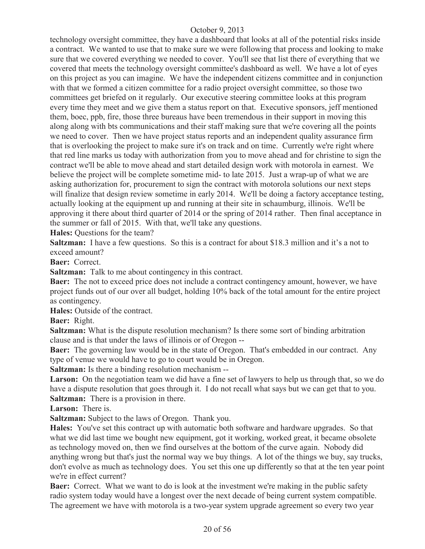technology oversight committee, they have a dashboard that looks at all of the potential risks inside a contract. We wanted to use that to make sure we were following that process and looking to make sure that we covered everything we needed to cover. You'll see that list there of everything that we covered that meets the technology oversight committee's dashboard as well. We have a lot of eyes on this project as you can imagine. We have the independent citizens committee and in conjunction with that we formed a citizen committee for a radio project oversight committee, so those two committees get briefed on it regularly. Our executive steering committee looks at this program every time they meet and we give them a status report on that. Executive sponsors, jeff mentioned them, boec, ppb, fire, those three bureaus have been tremendous in their support in moving this along along with bts communications and their staff making sure that we're covering all the points we need to cover. Then we have project status reports and an independent quality assurance firm that is overlooking the project to make sure it's on track and on time. Currently we're right where that red line marks us today with authorization from you to move ahead and for christine to sign the contract we'll be able to move ahead and start detailed design work with motorola in earnest. We believe the project will be complete sometime mid- to late 2015. Just a wrap-up of what we are asking authorization for, procurement to sign the contract with motorola solutions our next steps will finalize that design review sometime in early 2014. We'll be doing a factory acceptance testing, actually looking at the equipment up and running at their site in schaumburg, illinois. We'll be approving it there about third quarter of 2014 or the spring of 2014 rather. Then final acceptance in the summer or fall of 2015. With that, we'll take any questions.

**Hales:** Questions for the team?

**Saltzman:** I have a few questions. So this is a contract for about \$18.3 million and it's a not to exceed amount?

**Baer:** Correct.

**Saltzman:** Talk to me about contingency in this contract.

**Baer:** The not to exceed price does not include a contract contingency amount, however, we have project funds out of our over all budget, holding 10% back of the total amount for the entire project as contingency.

**Hales:** Outside of the contract.

**Baer:** Right.

**Saltzman:** What is the dispute resolution mechanism? Is there some sort of binding arbitration clause and is that under the laws of illinois or of Oregon --

**Baer:** The governing law would be in the state of Oregon. That's embedded in our contract. Any type of venue we would have to go to court would be in Oregon.

**Saltzman:** Is there a binding resolution mechanism --

Larson: On the negotiation team we did have a fine set of lawyers to help us through that, so we do have a dispute resolution that goes through it. I do not recall what says but we can get that to you. **Saltzman:** There is a provision in there.

**Larson:** There is.

**Saltzman:** Subject to the laws of Oregon. Thank you.

**Hales:** You've set this contract up with automatic both software and hardware upgrades. So that what we did last time we bought new equipment, got it working, worked great, it became obsolete as technology moved on, then we find ourselves at the bottom of the curve again. Nobody did anything wrong but that's just the normal way we buy things. A lot of the things we buy, say trucks, don't evolve as much as technology does. You set this one up differently so that at the ten year point we're in effect current?

**Baer:** Correct. What we want to do is look at the investment we're making in the public safety radio system today would have a longest over the next decade of being current system compatible. The agreement we have with motorola is a two-year system upgrade agreement so every two year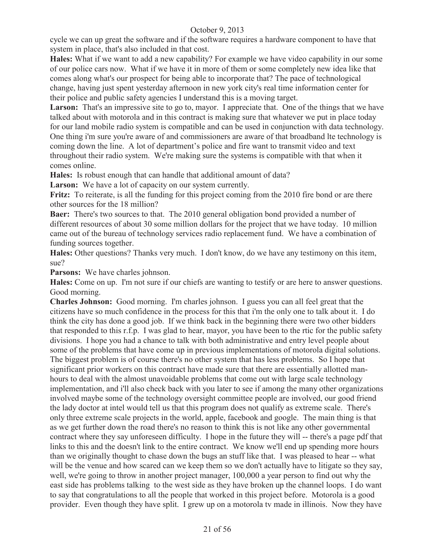cycle we can up great the software and if the software requires a hardware component to have that system in place, that's also included in that cost.

**Hales:** What if we want to add a new capability? For example we have video capability in our some of our police cars now. What if we have it in more of them or some completely new idea like that comes along what's our prospect for being able to incorporate that? The pace of technological change, having just spent yesterday afternoon in new york city's real time information center for their police and public safety agencies I understand this is a moving target.

Larson: That's an impressive site to go to, mayor. I appreciate that. One of the things that we have talked about with motorola and in this contract is making sure that whatever we put in place today for our land mobile radio system is compatible and can be used in conjunction with data technology. One thing i'm sure you're aware of and commissioners are aware of that broadband lte technology is coming down the line. A lot of department's police and fire want to transmit video and text throughout their radio system. We're making sure the systems is compatible with that when it comes online.

**Hales:** Is robust enough that can handle that additional amount of data?

Larson: We have a lot of capacity on our system currently.

Fritz: To reiterate, is all the funding for this project coming from the 2010 fire bond or are there other sources for the 18 million?

**Baer:** There's two sources to that. The 2010 general obligation bond provided a number of different resources of about 30 some million dollars for the project that we have today. 10 million came out of the bureau of technology services radio replacement fund. We have a combination of funding sources together.

**Hales:** Other questions? Thanks very much. I don't know, do we have any testimony on this item, sue?

**Parsons:** We have charles johnson.

**Hales:** Come on up. I'm not sure if our chiefs are wanting to testify or are here to answer questions. Good morning.

**Charles Johnson:** Good morning. I'm charles johnson. I guess you can all feel great that the citizens have so much confidence in the process for this that i'm the only one to talk about it. I do think the city has done a good job. If we think back in the beginning there were two other bidders that responded to this r.f.p. I was glad to hear, mayor, you have been to the rtic for the public safety divisions. I hope you had a chance to talk with both administrative and entry level people about some of the problems that have come up in previous implementations of motorola digital solutions. The biggest problem is of course there's no other system that has less problems. So I hope that significant prior workers on this contract have made sure that there are essentially allotted manhours to deal with the almost unavoidable problems that come out with large scale technology implementation, and i'll also check back with you later to see if among the many other organizations involved maybe some of the technology oversight committee people are involved, our good friend the lady doctor at intel would tell us that this program does not qualify as extreme scale. There's only three extreme scale projects in the world, apple, facebook and google. The main thing is that as we get further down the road there's no reason to think this is not like any other governmental contract where they say unforeseen difficulty. I hope in the future they will -- there's a page pdf that links to this and the doesn't link to the entire contract. We know we'll end up spending more hours than we originally thought to chase down the bugs an stuff like that. I was pleased to hear -- what will be the venue and how scared can we keep them so we don't actually have to litigate so they say, well, we're going to throw in another project manager, 100,000 a year person to find out why the east side has problems talking to the west side as they have broken up the channel loops. I do want to say that congratulations to all the people that worked in this project before. Motorola is a good provider. Even though they have split. I grew up on a motorola tv made in illinois. Now they have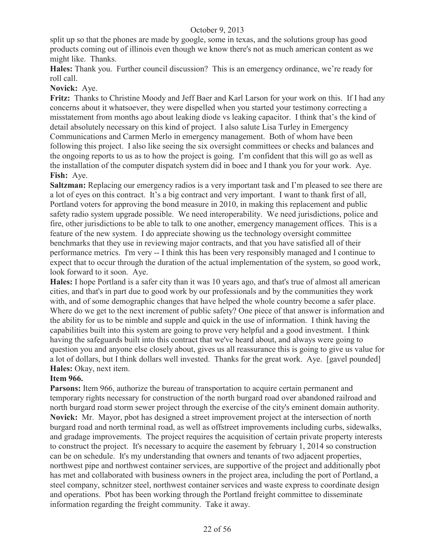split up so that the phones are made by google, some in texas, and the solutions group has good products coming out of illinois even though we know there's not as much american content as we might like. Thanks.

**Hales:** Thank you. Further council discussion? This is an emergency ordinance, we're ready for roll call.

## **Novick:** Aye.

**Fritz:** Thanks to Christine Moody and Jeff Baer and Karl Larson for your work on this. If I had any concerns about it whatsoever, they were dispelled when you started your testimony correcting a misstatement from months ago about leaking diode vs leaking capacitor. I think that's the kind of detail absolutely necessary on this kind of project. I also salute Lisa Turley in Emergency Communications and Carmen Merlo in emergency management. Both of whom have been following this project. I also like seeing the six oversight committees or checks and balances and the ongoing reports to us as to how the project is going. I'm confident that this will go as well as the installation of the computer dispatch system did in boec and I thank you for your work. Aye. **Fish:** Aye.

**Saltzman:** Replacing our emergency radios is a very important task and I'm pleased to see there are a lot of eyes on this contract. It's a big contract and very important. I want to thank first of all, Portland voters for approving the bond measure in 2010, in making this replacement and public safety radio system upgrade possible. We need interoperability. We need jurisdictions, police and fire, other jurisdictions to be able to talk to one another, emergency management offices. This is a feature of the new system. I do appreciate showing us the technology oversight committee benchmarks that they use in reviewing major contracts, and that you have satisfied all of their performance metrics. I'm very -- I think this has been very responsibly managed and I continue to expect that to occur through the duration of the actual implementation of the system, so good work, look forward to it soon. Aye.

**Hales:** I hope Portland is a safer city than it was 10 years ago, and that's true of almost all american cities, and that's in part due to good work by our professionals and by the communities they work with, and of some demographic changes that have helped the whole country become a safer place. Where do we get to the next increment of public safety? One piece of that answer is information and the ability for us to be nimble and supple and quick in the use of information. I think having the capabilities built into this system are going to prove very helpful and a good investment. I think having the safeguards built into this contract that we've heard about, and always were going to question you and anyone else closely about, gives us all reassurance this is going to give us value for a lot of dollars, but I think dollars well invested. Thanks for the great work. Aye. [gavel pounded] **Hales:** Okay, next item.

## **Item 966.**

**Parsons:** Item 966, authorize the bureau of transportation to acquire certain permanent and temporary rights necessary for construction of the north burgard road over abandoned railroad and north burgard road storm sewer project through the exercise of the city's eminent domain authority. **Novick:** Mr. Mayor, pbot has designed a street improvement project at the intersection of north burgard road and north terminal road, as well as offstreet improvements including curbs, sidewalks, and gradage improvements. The project requires the acquisition of certain private property interests to construct the project. It's necessary to acquire the easement by february 1, 2014 so construction can be on schedule. It's my understanding that owners and tenants of two adjacent properties, northwest pipe and northwest container services, are supportive of the project and additionally pbot has met and collaborated with business owners in the project area, including the port of Portland, a steel company, schnitzer steel, northwest container services and waste express to coordinate design and operations. Pbot has been working through the Portland freight committee to disseminate information regarding the freight community. Take it away.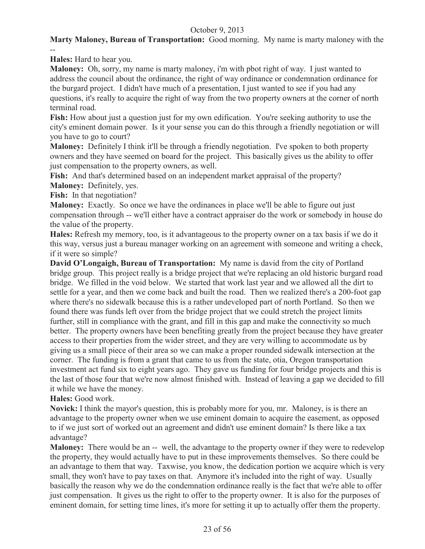## **Marty Maloney, Bureau of Transportation:** Good morning. My name is marty maloney with the --

**Hales:** Hard to hear you.

**Maloney:** Oh, sorry, my name is marty maloney, i'm with pbot right of way. I just wanted to address the council about the ordinance, the right of way ordinance or condemnation ordinance for the burgard project. I didn't have much of a presentation, I just wanted to see if you had any questions, it's really to acquire the right of way from the two property owners at the corner of north terminal road.

**Fish:** How about just a question just for my own edification. You're seeking authority to use the city's eminent domain power. Is it your sense you can do this through a friendly negotiation or will you have to go to court?

**Maloney:** Definitely I think it'll be through a friendly negotiation. I've spoken to both property owners and they have seemed on board for the project. This basically gives us the ability to offer just compensation to the property owners, as well.

**Fish:** And that's determined based on an independent market appraisal of the property? **Maloney:** Definitely, yes.

**Fish:** In that negotiation?

**Maloney:** Exactly. So once we have the ordinances in place we'll be able to figure out just compensation through -- we'll either have a contract appraiser do the work or somebody in house do the value of the property.

**Hales:** Refresh my memory, too, is it advantageous to the property owner on a tax basis if we do it this way, versus just a bureau manager working on an agreement with someone and writing a check, if it were so simple?

**David O'Longaigh, Bureau of Transportation:** My name is david from the city of Portland bridge group. This project really is a bridge project that we're replacing an old historic burgard road bridge. We filled in the void below. We started that work last year and we allowed all the dirt to settle for a year, and then we come back and built the road. Then we realized there's a 200-foot gap where there's no sidewalk because this is a rather undeveloped part of north Portland. So then we found there was funds left over from the bridge project that we could stretch the project limits further, still in compliance with the grant, and fill in this gap and make the connectivity so much better. The property owners have been benefiting greatly from the project because they have greater access to their properties from the wider street, and they are very willing to accommodate us by giving us a small piece of their area so we can make a proper rounded sidewalk intersection at the corner. The funding is from a grant that came to us from the state, otia, Oregon transportation investment act fund six to eight years ago. They gave us funding for four bridge projects and this is the last of those four that we're now almost finished with. Instead of leaving a gap we decided to fill it while we have the money.

## **Hales:** Good work.

**Novick:** I think the mayor's question, this is probably more for you, mr. Maloney, is is there an advantage to the property owner when we use eminent domain to acquire the easement, as opposed to if we just sort of worked out an agreement and didn't use eminent domain? Is there like a tax advantage?

**Maloney:** There would be an -- well, the advantage to the property owner if they were to redevelop the property, they would actually have to put in these improvements themselves. So there could be an advantage to them that way. Taxwise, you know, the dedication portion we acquire which is very small, they won't have to pay taxes on that. Anymore it's included into the right of way. Usually basically the reason why we do the condemnation ordinance really is the fact that we're able to offer just compensation. It gives us the right to offer to the property owner. It is also for the purposes of eminent domain, for setting time lines, it's more for setting it up to actually offer them the property.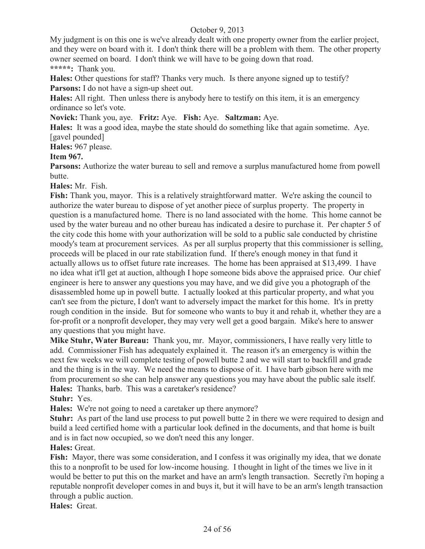My judgment is on this one is we've already dealt with one property owner from the earlier project, and they were on board with it. I don't think there will be a problem with them. The other property owner seemed on board. I don't think we will have to be going down that road. **\*\*\*\*\*:** Thank you.

**Hales:** Other questions for staff? Thanks very much. Is there anyone signed up to testify? **Parsons:** I do not have a sign-up sheet out.

**Hales:** All right. Then unless there is anybody here to testify on this item, it is an emergency ordinance so let's vote.

**Novick:** Thank you, aye. **Fritz:** Aye. **Fish:** Aye. **Saltzman:** Aye.

**Hales:** It was a good idea, maybe the state should do something like that again sometime. Aye. [gavel pounded]

**Hales:** 967 please.

## **Item 967.**

**Parsons:** Authorize the water bureau to sell and remove a surplus manufactured home from powell butte.

**Hales:** Mr. Fish.

**Fish:** Thank you, mayor. This is a relatively straightforward matter. We're asking the council to authorize the water bureau to dispose of yet another piece of surplus property. The property in question is a manufactured home. There is no land associated with the home. This home cannot be used by the water bureau and no other bureau has indicated a desire to purchase it. Per chapter 5 of the city code this home with your authorization will be sold to a public sale conducted by christine moody's team at procurement services. As per all surplus property that this commissioner is selling, proceeds will be placed in our rate stabilization fund. If there's enough money in that fund it actually allows us to offset future rate increases. The home has been appraised at \$13,499. I have no idea what it'll get at auction, although I hope someone bids above the appraised price. Our chief engineer is here to answer any questions you may have, and we did give you a photograph of the disassembled home up in powell butte. I actually looked at this particular property, and what you can't see from the picture, I don't want to adversely impact the market for this home. It's in pretty rough condition in the inside. But for someone who wants to buy it and rehab it, whether they are a for-profit or a nonprofit developer, they may very well get a good bargain. Mike's here to answer any questions that you might have.

**Mike Stuhr, Water Bureau:** Thank you, mr. Mayor, commissioners, I have really very little to add. Commissioner Fish has adequately explained it. The reason it's an emergency is within the next few weeks we will complete testing of powell butte 2 and we will start to backfill and grade and the thing is in the way. We need the means to dispose of it. I have barb gibson here with me from procurement so she can help answer any questions you may have about the public sale itself. **Hales:** Thanks, barb. This was a caretaker's residence?

**Stuhr:** Yes.

**Hales:** We're not going to need a caretaker up there anymore?

**Stuhr:** As part of the land use process to put powell butte 2 in there we were required to design and build a leed certified home with a particular look defined in the documents, and that home is built and is in fact now occupied, so we don't need this any longer.

#### **Hales:** Great.

**Fish:** Mayor, there was some consideration, and I confess it was originally my idea, that we donate this to a nonprofit to be used for low-income housing. I thought in light of the times we live in it would be better to put this on the market and have an arm's length transaction. Secretly i'm hoping a reputable nonprofit developer comes in and buys it, but it will have to be an arm's length transaction through a public auction.

**Hales:** Great.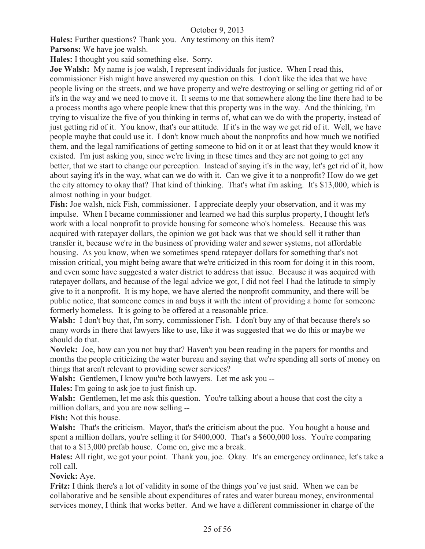**Hales:** Further questions? Thank you. Any testimony on this item?

**Parsons:** We have joe walsh.

**Hales:** I thought you said something else. Sorry.

**Joe Walsh:** My name is joe walsh, I represent individuals for justice. When I read this,

commissioner Fish might have answered my question on this. I don't like the idea that we have people living on the streets, and we have property and we're destroying or selling or getting rid of or it's in the way and we need to move it. It seems to me that somewhere along the line there had to be a process months ago where people knew that this property was in the way. And the thinking, i'm trying to visualize the five of you thinking in terms of, what can we do with the property, instead of just getting rid of it. You know, that's our attitude. If it's in the way we get rid of it. Well, we have people maybe that could use it. I don't know much about the nonprofits and how much we notified them, and the legal ramifications of getting someone to bid on it or at least that they would know it existed. I'm just asking you, since we're living in these times and they are not going to get any better, that we start to change our perception. Instead of saying it's in the way, let's get rid of it, how about saying it's in the way, what can we do with it. Can we give it to a nonprofit? How do we get the city attorney to okay that? That kind of thinking. That's what i'm asking. It's \$13,000, which is almost nothing in your budget.

**Fish:** Joe walsh, nick Fish, commissioner. I appreciate deeply your observation, and it was my impulse. When I became commissioner and learned we had this surplus property, I thought let's work with a local nonprofit to provide housing for someone who's homeless. Because this was acquired with ratepayer dollars, the opinion we got back was that we should sell it rather than transfer it, because we're in the business of providing water and sewer systems, not affordable housing. As you know, when we sometimes spend ratepayer dollars for something that's not mission critical, you might being aware that we're criticized in this room for doing it in this room, and even some have suggested a water district to address that issue. Because it was acquired with ratepayer dollars, and because of the legal advice we got, I did not feel I had the latitude to simply give to it a nonprofit. It is my hope, we have alerted the nonprofit community, and there will be public notice, that someone comes in and buys it with the intent of providing a home for someone formerly homeless. It is going to be offered at a reasonable price.

**Walsh:** I don't buy that, i'm sorry, commissioner Fish. I don't buy any of that because there's so many words in there that lawyers like to use, like it was suggested that we do this or maybe we should do that.

**Novick:** Joe, how can you not buy that? Haven't you been reading in the papers for months and months the people criticizing the water bureau and saying that we're spending all sorts of money on things that aren't relevant to providing sewer services?

**Walsh:** Gentlemen, I know you're both lawyers. Let me ask you --

**Hales:** I'm going to ask joe to just finish up.

**Walsh:** Gentlemen, let me ask this question. You're talking about a house that cost the city a million dollars, and you are now selling --

**Fish:** Not this house.

**Walsh:** That's the criticism. Mayor, that's the criticism about the puc. You bought a house and spent a million dollars, you're selling it for \$400,000. That's a \$600,000 loss. You're comparing that to a \$13,000 prefab house. Come on, give me a break.

**Hales:** All right, we got your point. Thank you, joe. Okay. It's an emergency ordinance, let's take a roll call.

**Novick:** Aye.

**Fritz:** I think there's a lot of validity in some of the things you've just said. When we can be collaborative and be sensible about expenditures of rates and water bureau money, environmental services money, I think that works better. And we have a different commissioner in charge of the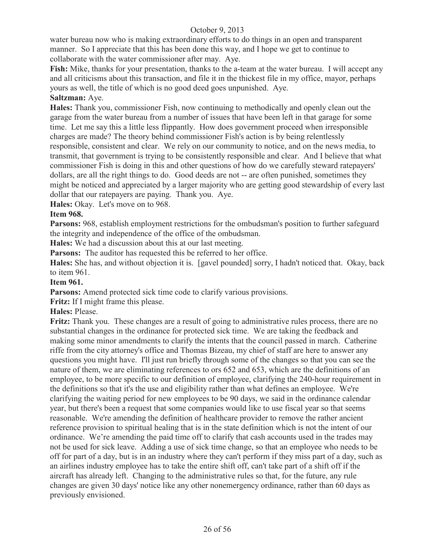water bureau now who is making extraordinary efforts to do things in an open and transparent manner. So I appreciate that this has been done this way, and I hope we get to continue to collaborate with the water commissioner after may. Aye.

**Fish:** Mike, thanks for your presentation, thanks to the a-team at the water bureau. I will accept any and all criticisms about this transaction, and file it in the thickest file in my office, mayor, perhaps yours as well, the title of which is no good deed goes unpunished. Aye.

## **Saltzman:** Aye.

**Hales:** Thank you, commissioner Fish, now continuing to methodically and openly clean out the garage from the water bureau from a number of issues that have been left in that garage for some time. Let me say this a little less flippantly. How does government proceed when irresponsible charges are made? The theory behind commissioner Fish's action is by being relentlessly responsible, consistent and clear. We rely on our community to notice, and on the news media, to transmit, that government is trying to be consistently responsible and clear. And I believe that what commissioner Fish is doing in this and other questions of how do we carefully steward ratepayers' dollars, are all the right things to do. Good deeds are not -- are often punished, sometimes they might be noticed and appreciated by a larger majority who are getting good stewardship of every last dollar that our ratepayers are paying. Thank you. Aye.

**Hales:** Okay. Let's move on to 968.

## **Item 968.**

**Parsons:** 968, establish employment restrictions for the ombudsman's position to further safeguard the integrity and independence of the office of the ombudsman.

**Hales:** We had a discussion about this at our last meeting.

**Parsons:** The auditor has requested this be referred to her office.

**Hales:** She has, and without objection it is. [gavel pounded] sorry, I hadn't noticed that. Okay, back to item 961.

## **Item 961.**

**Parsons:** Amend protected sick time code to clarify various provisions.

**Fritz:** If I might frame this please.

**Hales:** Please.

**Fritz:** Thank you. These changes are a result of going to administrative rules process, there are no substantial changes in the ordinance for protected sick time. We are taking the feedback and making some minor amendments to clarify the intents that the council passed in march. Catherine riffe from the city attorney's office and Thomas Bizeau, my chief of staff are here to answer any questions you might have. I'll just run briefly through some of the changes so that you can see the nature of them, we are eliminating references to ors 652 and 653, which are the definitions of an employee, to be more specific to our definition of employee, clarifying the 240-hour requirement in the definitions so that it's the use and eligibility rather than what defines an employee. We're clarifying the waiting period for new employees to be 90 days, we said in the ordinance calendar year, but there's been a request that some companies would like to use fiscal year so that seems reasonable. We're amending the definition of healthcare provider to remove the rather ancient reference provision to spiritual healing that is in the state definition which is not the intent of our ordinance. We're amending the paid time off to clarify that cash accounts used in the trades may not be used for sick leave. Adding a use of sick time change, so that an employee who needs to be off for part of a day, but is in an industry where they can't perform if they miss part of a day, such as an airlines industry employee has to take the entire shift off, can't take part of a shift off if the aircraft has already left. Changing to the administrative rules so that, for the future, any rule changes are given 30 days' notice like any other nonemergency ordinance, rather than 60 days as previously envisioned.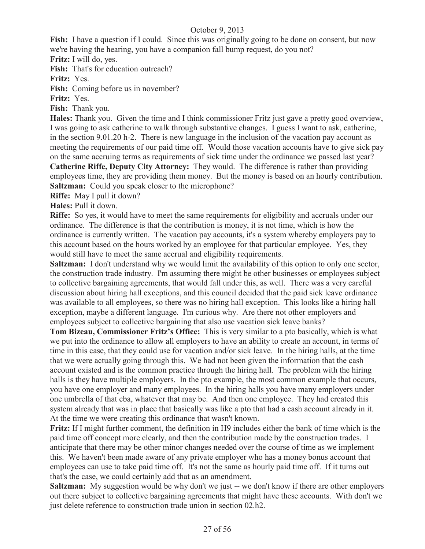**Fish:** I have a question if I could. Since this was originally going to be done on consent, but now we're having the hearing, you have a companion fall bump request, do you not?

**Fritz:** I will do, yes.

**Fish:** That's for education outreach?

**Fritz:** Yes.

Fish: Coming before us in november?

**Fritz:** Yes.

**Fish:** Thank you.

**Hales:** Thank you. Given the time and I think commissioner Fritz just gave a pretty good overview, I was going to ask catherine to walk through substantive changes. I guess I want to ask, catherine, in the section 9.01.20 h-2. There is new language in the inclusion of the vacation pay account as meeting the requirements of our paid time off. Would those vacation accounts have to give sick pay on the same accruing terms as requirements of sick time under the ordinance we passed last year? **Catherine Riffe, Deputy City Attorney:** They would. The difference is rather than providing employees time, they are providing them money. But the money is based on an hourly contribution. **Saltzman:** Could you speak closer to the microphone?

**Riffe:** May I pull it down?

**Hales:** Pull it down.

**Riffe:** So yes, it would have to meet the same requirements for eligibility and accruals under our ordinance. The difference is that the contribution is money, it is not time, which is how the ordinance is currently written. The vacation pay accounts, it's a system whereby employers pay to this account based on the hours worked by an employee for that particular employee. Yes, they would still have to meet the same accrual and eligibility requirements.

**Saltzman:** I don't understand why we would limit the availability of this option to only one sector, the construction trade industry. I'm assuming there might be other businesses or employees subject to collective bargaining agreements, that would fall under this, as well. There was a very careful discussion about hiring hall exceptions, and this council decided that the paid sick leave ordinance was available to all employees, so there was no hiring hall exception. This looks like a hiring hall exception, maybe a different language. I'm curious why. Are there not other employers and employees subject to collective bargaining that also use vacation sick leave banks?

**Tom Bizeau, Commissioner Fritz's Office:** This is very similar to a pto basically, which is what we put into the ordinance to allow all employers to have an ability to create an account, in terms of time in this case, that they could use for vacation and/or sick leave. In the hiring halls, at the time that we were actually going through this. We had not been given the information that the cash account existed and is the common practice through the hiring hall. The problem with the hiring halls is they have multiple employers. In the pto example, the most common example that occurs, you have one employer and many employees. In the hiring halls you have many employers under one umbrella of that cba, whatever that may be. And then one employee. They had created this system already that was in place that basically was like a pto that had a cash account already in it. At the time we were creating this ordinance that wasn't known.

**Fritz:** If I might further comment, the definition in H9 includes either the bank of time which is the paid time off concept more clearly, and then the contribution made by the construction trades. I anticipate that there may be other minor changes needed over the course of time as we implement this. We haven't been made aware of any private employer who has a money bonus account that employees can use to take paid time off. It's not the same as hourly paid time off. If it turns out that's the case, we could certainly add that as an amendment.

**Saltzman:** My suggestion would be why don't we just -- we don't know if there are other employers out there subject to collective bargaining agreements that might have these accounts. With don't we just delete reference to construction trade union in section 02.h2.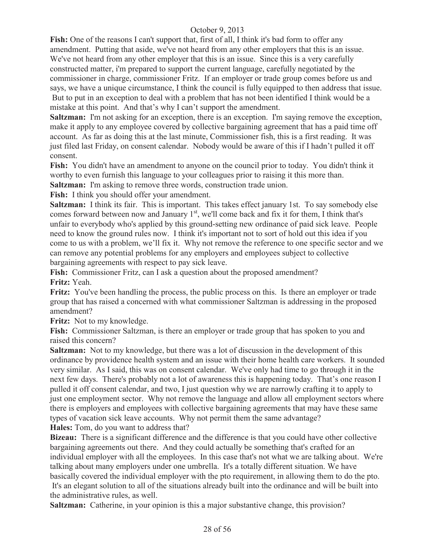**Fish:** One of the reasons I can't support that, first of all, I think it's bad form to offer any amendment. Putting that aside, we've not heard from any other employers that this is an issue. We've not heard from any other employer that this is an issue. Since this is a very carefully constructed matter, i'm prepared to support the current language, carefully negotiated by the commissioner in charge, commissioner Fritz. If an employer or trade group comes before us and says, we have a unique circumstance, I think the council is fully equipped to then address that issue. But to put in an exception to deal with a problem that has not been identified I think would be a mistake at this point. And that's why I can't support the amendment.

**Saltzman:** I'm not asking for an exception, there is an exception. I'm saying remove the exception, make it apply to any employee covered by collective bargaining agreement that has a paid time off account. As far as doing this at the last minute, Commissioner fish, this is a first reading. It was just filed last Friday, on consent calendar. Nobody would be aware of this if I hadn't pulled it off consent.

**Fish:** You didn't have an amendment to anyone on the council prior to today. You didn't think it worthy to even furnish this language to your colleagues prior to raising it this more than. **Saltzman:** I'm asking to remove three words, construction trade union.

**Fish:** I think you should offer your amendment.

**Saltzman:** I think its fair. This is important. This takes effect january 1st. To say somebody else comes forward between now and January  $1<sup>st</sup>$ , we'll come back and fix it for them, I think that's unfair to everybody who's applied by this ground-setting new ordinance of paid sick leave. People need to know the ground rules now. I think it's important not to sort of hold out this idea if you come to us with a problem, we'll fix it. Why not remove the reference to one specific sector and we can remove any potential problems for any employers and employees subject to collective bargaining agreements with respect to pay sick leave.

**Fish:** Commissioner Fritz, can I ask a question about the proposed amendment? **Fritz:** Yeah.

**Fritz:** You've been handling the process, the public process on this. Is there an employer or trade group that has raised a concerned with what commissioner Saltzman is addressing in the proposed amendment?

**Fritz:** Not to my knowledge.

**Fish:** Commissioner Saltzman, is there an employer or trade group that has spoken to you and raised this concern?

**Saltzman:** Not to my knowledge, but there was a lot of discussion in the development of this ordinance by providence health system and an issue with their home health care workers. It sounded very similar. As I said, this was on consent calendar. We've only had time to go through it in the next few days. There's probably not a lot of awareness this is happening today. That's one reason I pulled it off consent calendar, and two, I just question why we are narrowly crafting it to apply to just one employment sector. Why not remove the language and allow all employment sectors where there is employers and employees with collective bargaining agreements that may have these same types of vacation sick leave accounts. Why not permit them the same advantage?

**Hales:** Tom, do you want to address that?

**Bizeau:** There is a significant difference and the difference is that you could have other collective bargaining agreements out there. And they could actually be something that's crafted for an individual employer with all the employees. In this case that's not what we are talking about. We're talking about many employers under one umbrella. It's a totally different situation. We have basically covered the individual employer with the pto requirement, in allowing them to do the pto. It's an elegant solution to all of the situations already built into the ordinance and will be built into the administrative rules, as well.

**Saltzman:** Catherine, in your opinion is this a major substantive change, this provision?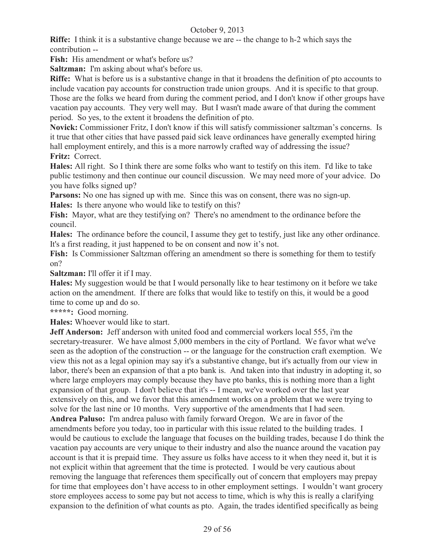**Riffe:** I think it is a substantive change because we are -- the change to h-2 which says the contribution --

Fish: His amendment or what's before us?

**Saltzman:** I'm asking about what's before us.

**Riffe:** What is before us is a substantive change in that it broadens the definition of pto accounts to include vacation pay accounts for construction trade union groups. And it is specific to that group. Those are the folks we heard from during the comment period, and I don't know if other groups have vacation pay accounts. They very well may. But I wasn't made aware of that during the comment period. So yes, to the extent it broadens the definition of pto.

**Novick:** Commissioner Fritz, I don't know if this will satisfy commissioner saltzman's concerns. Is it true that other cities that have passed paid sick leave ordinances have generally exempted hiring hall employment entirely, and this is a more narrowly crafted way of addressing the issue? **Fritz:** Correct.

**Hales:** All right. So I think there are some folks who want to testify on this item. I'd like to take public testimony and then continue our council discussion. We may need more of your advice. Do you have folks signed up?

**Parsons:** No one has signed up with me. Since this was on consent, there was no sign-up. **Hales:** Is there anyone who would like to testify on this?

**Fish:** Mayor, what are they testifying on? There's no amendment to the ordinance before the council.

**Hales:** The ordinance before the council, I assume they get to testify, just like any other ordinance. It's a first reading, it just happened to be on consent and now it's not.

**Fish:** Is Commissioner Saltzman offering an amendment so there is something for them to testify on?

**Saltzman:** I'll offer it if I may.

**Hales:** My suggestion would be that I would personally like to hear testimony on it before we take action on the amendment. If there are folks that would like to testify on this, it would be a good time to come up and do so.

**\*\*\*\*\*:** Good morning.

**Hales:** Whoever would like to start.

**Jeff Anderson:** Jeff anderson with united food and commercial workers local 555, i'm the secretary-treasurer. We have almost 5,000 members in the city of Portland. We favor what we've seen as the adoption of the construction -- or the language for the construction craft exemption. We view this not as a legal opinion may say it's a substantive change, but it's actually from our view in labor, there's been an expansion of that a pto bank is. And taken into that industry in adopting it, so where large employers may comply because they have pto banks, this is nothing more than a light expansion of that group. I don't believe that it's -- I mean, we've worked over the last year extensively on this, and we favor that this amendment works on a problem that we were trying to solve for the last nine or 10 months. Very supportive of the amendments that I had seen. **Andrea Paluso:** I'm andrea paluso with family forward Oregon. We are in favor of the amendments before you today, too in particular with this issue related to the building trades. I would be cautious to exclude the language that focuses on the building trades, because I do think the vacation pay accounts are very unique to their industry and also the nuance around the vacation pay account is that it is prepaid time. They assure us folks have access to it when they need it, but it is not explicit within that agreement that the time is protected. I would be very cautious about removing the language that references them specifically out of concern that employers may prepay for time that employees don't have access to in other employment settings. I wouldn't want grocery store employees access to some pay but not access to time, which is why this is really a clarifying expansion to the definition of what counts as pto. Again, the trades identified specifically as being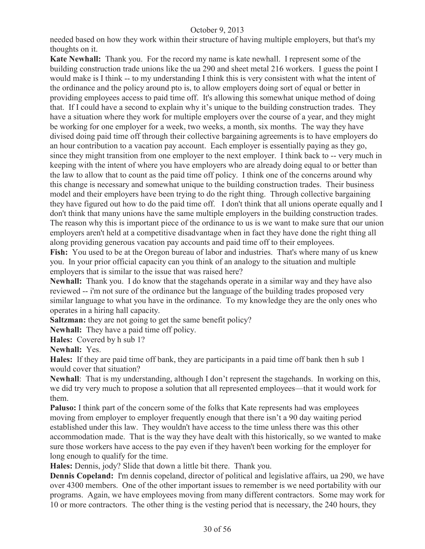needed based on how they work within their structure of having multiple employers, but that's my thoughts on it.

**Kate Newhall:** Thank you. For the record my name is kate newhall. I represent some of the building construction trade unions like the ua 290 and sheet metal 216 workers. I guess the point I would make is I think -- to my understanding I think this is very consistent with what the intent of the ordinance and the policy around pto is, to allow employers doing sort of equal or better in providing employees access to paid time off. It's allowing this somewhat unique method of doing that. If I could have a second to explain why it's unique to the building construction trades. They have a situation where they work for multiple employers over the course of a year, and they might be working for one employer for a week, two weeks, a month, six months. The way they have divised doing paid time off through their collective bargaining agreements is to have employers do an hour contribution to a vacation pay account. Each employer is essentially paying as they go, since they might transition from one employer to the next employer. I think back to -- very much in keeping with the intent of where you have employers who are already doing equal to or better than the law to allow that to count as the paid time off policy. I think one of the concerns around why this change is necessary and somewhat unique to the building construction trades. Their business model and their employers have been trying to do the right thing. Through collective bargaining they have figured out how to do the paid time off. I don't think that all unions operate equally and I don't think that many unions have the same multiple employers in the building construction trades. The reason why this is important piece of the ordinance to us is we want to make sure that our union employers aren't held at a competitive disadvantage when in fact they have done the right thing all along providing generous vacation pay accounts and paid time off to their employees.

**Fish:** You used to be at the Oregon bureau of labor and industries. That's where many of us knew you. In your prior official capacity can you think of an analogy to the situation and multiple employers that is similar to the issue that was raised here?

**Newhall:** Thank you. I do know that the stagehands operate in a similar way and they have also reviewed -- i'm not sure of the ordinance but the language of the building trades proposed very similar language to what you have in the ordinance. To my knowledge they are the only ones who operates in a hiring hall capacity.

**Saltzman:** they are not going to get the same benefit policy?

**Newhall:** They have a paid time off policy.

**Hales:** Covered by h sub 1?

**Newhall:** Yes.

**Hales:** If they are paid time off bank, they are participants in a paid time off bank then h sub 1 would cover that situation?

**Newhall**: That is my understanding, although I don't represent the stagehands. In working on this, we did try very much to propose a solution that all represented employees—that it would work for them.

**Paluso:** I think part of the concern some of the folks that Kate represents had was employees moving from employer to employer frequently enough that there isn't a 90 day waiting period established under this law. They wouldn't have access to the time unless there was this other accommodation made. That is the way they have dealt with this historically, so we wanted to make sure those workers have access to the pay even if they haven't been working for the employer for long enough to qualify for the time.

**Hales:** Dennis, jody? Slide that down a little bit there. Thank you.

**Dennis Copeland:** I'm dennis copeland, director of political and legislative affairs, ua 290, we have over 4300 members. One of the other important issues to remember is we need portability with our programs. Again, we have employees moving from many different contractors. Some may work for 10 or more contractors. The other thing is the vesting period that is necessary, the 240 hours, they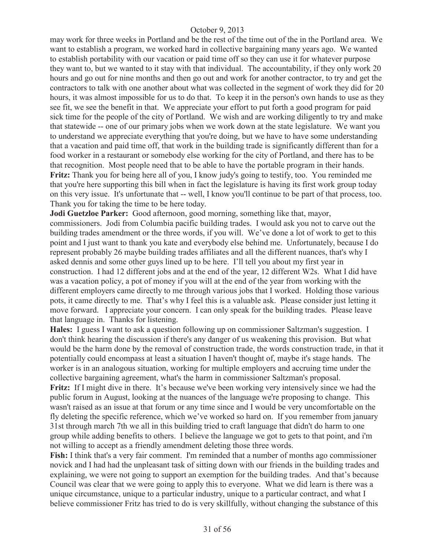may work for three weeks in Portland and be the rest of the time out of the in the Portland area. We want to establish a program, we worked hard in collective bargaining many years ago. We wanted to establish portability with our vacation or paid time off so they can use it for whatever purpose they want to, but we wanted to it stay with that individual. The accountability, if they only work 20 hours and go out for nine months and then go out and work for another contractor, to try and get the contractors to talk with one another about what was collected in the segment of work they did for 20 hours, it was almost impossible for us to do that. To keep it in the person's own hands to use as they see fit, we see the benefit in that. We appreciate your effort to put forth a good program for paid sick time for the people of the city of Portland. We wish and are working diligently to try and make that statewide -- one of our primary jobs when we work down at the state legislature. We want you to understand we appreciate everything that you're doing, but we have to have some understanding that a vacation and paid time off, that work in the building trade is significantly different than for a food worker in a restaurant or somebody else working for the city of Portland, and there has to be that recognition. Most people need that to be able to have the portable program in their hands. **Fritz:** Thank you for being here all of you, I know judy's going to testify, too. You reminded me that you're here supporting this bill when in fact the legislature is having its first work group today on this very issue. It's unfortunate that -- well, I know you'll continue to be part of that process, too. Thank you for taking the time to be here today.

**Jodi Guetzloe Parker:** Good afternoon, good morning, something like that, mayor, commissioners. Jodi from Columbia pacific building trades. I would ask you not to carve out the building trades amendment or the three words, if you will. We've done a lot of work to get to this point and I just want to thank you kate and everybody else behind me. Unfortunately, because I do represent probably 26 maybe building trades affiliates and all the different nuances, that's why I asked dennis and some other guys lined up to be here. I'll tell you about my first year in construction. I had 12 different jobs and at the end of the year, 12 different W2s. What I did have was a vacation policy, a pot of money if you will at the end of the year from working with the different employers came directly to me through various jobs that I worked. Holding those various pots, it came directly to me. That's why I feel this is a valuable ask. Please consider just letting it move forward. I appreciate your concern. I can only speak for the building trades. Please leave that language in. Thanks for listening.

**Hales:** I guess I want to ask a question following up on commissioner Saltzman's suggestion. I don't think hearing the discussion if there's any danger of us weakening this provision. But what would be the harm done by the removal of construction trade, the words construction trade, in that it potentially could encompass at least a situation I haven't thought of, maybe it's stage hands. The worker is in an analogous situation, working for multiple employers and accruing time under the collective bargaining agreement, what's the harm in commissioner Saltzman's proposal.

**Fritz:** If I might dive in there. It's because we've been working very intensively since we had the public forum in August, looking at the nuances of the language we're proposing to change. This wasn't raised as an issue at that forum or any time since and I would be very uncomfortable on the fly deleting the specific reference, which we've worked so hard on. If you remember from january 31st through march 7th we all in this building tried to craft language that didn't do harm to one group while adding benefits to others. I believe the language we got to gets to that point, and i'm not willing to accept as a friendly amendment deleting those three words.

**Fish:** I think that's a very fair comment. I'm reminded that a number of months ago commissioner novick and I had had the unpleasant task of sitting down with our friends in the building trades and explaining, we were not going to support an exemption for the building trades. And that's because Council was clear that we were going to apply this to everyone. What we did learn is there was a unique circumstance, unique to a particular industry, unique to a particular contract, and what I believe commissioner Fritz has tried to do is very skillfully, without changing the substance of this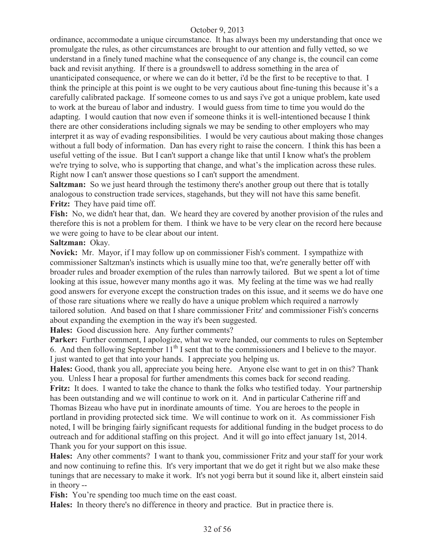ordinance, accommodate a unique circumstance. It has always been my understanding that once we promulgate the rules, as other circumstances are brought to our attention and fully vetted, so we understand in a finely tuned machine what the consequence of any change is, the council can come back and revisit anything. If there is a groundswell to address something in the area of unanticipated consequence, or where we can do it better, i'd be the first to be receptive to that. I think the principle at this point is we ought to be very cautious about fine-tuning this because it's a carefully calibrated package. If someone comes to us and says i've got a unique problem, kate used to work at the bureau of labor and industry. I would guess from time to time you would do the adapting. I would caution that now even if someone thinks it is well-intentioned because I think there are other considerations including signals we may be sending to other employers who may interpret it as way of evading responsibilities. I would be very cautious about making those changes without a full body of information. Dan has every right to raise the concern. I think this has been a useful vetting of the issue. But I can't support a change like that until I know what's the problem we're trying to solve, who is supporting that change, and what's the implication across these rules. Right now I can't answer those questions so I can't support the amendment.

**Saltzman:** So we just heard through the testimony there's another group out there that is totally analogous to construction trade services, stagehands, but they will not have this same benefit. **Fritz:** They have paid time off.

**Fish:** No, we didn't hear that, dan. We heard they are covered by another provision of the rules and therefore this is not a problem for them. I think we have to be very clear on the record here because we were going to have to be clear about our intent.

#### **Saltzman:** Okay.

**Novick:** Mr. Mayor, if I may follow up on commissioner Fish's comment. I sympathize with commissioner Saltzman's instincts which is usually mine too that, we're generally better off with broader rules and broader exemption of the rules than narrowly tailored. But we spent a lot of time looking at this issue, however many months ago it was. My feeling at the time was we had really good answers for everyone except the construction trades on this issue, and it seems we do have one of those rare situations where we really do have a unique problem which required a narrowly tailored solution. And based on that I share commissioner Fritz' and commissioner Fish's concerns about expanding the exemption in the way it's been suggested.

**Hales:** Good discussion here. Any further comments?

Parker: Further comment, I apologize, what we were handed, our comments to rules on September 6. And then following September  $11<sup>th</sup>$  I sent that to the commissioners and I believe to the mayor. I just wanted to get that into your hands. I appreciate you helping us.

**Hales:** Good, thank you all, appreciate you being here. Anyone else want to get in on this? Thank you. Unless I hear a proposal for further amendments this comes back for second reading. **Fritz:** It does. I wanted to take the chance to thank the folks who testified today. Your partnership has been outstanding and we will continue to work on it. And in particular Catherine riff and Thomas Bizeau who have put in inordinate amounts of time. You are heroes to the people in portland in providing protected sick time. We will continue to work on it. As commissioner Fish noted, I will be bringing fairly significant requests for additional funding in the budget process to do outreach and for additional staffing on this project. And it will go into effect january 1st, 2014. Thank you for your support on this issue.

**Hales:** Any other comments? I want to thank you, commissioner Fritz and your staff for your work and now continuing to refine this. It's very important that we do get it right but we also make these tunings that are necessary to make it work. It's not yogi berra but it sound like it, albert einstein said in theory --

Fish: You're spending too much time on the east coast.

**Hales:** In theory there's no difference in theory and practice. But in practice there is.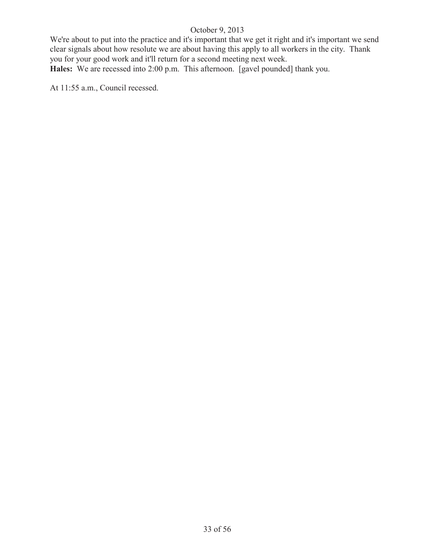We're about to put into the practice and it's important that we get it right and it's important we send clear signals about how resolute we are about having this apply to all workers in the city. Thank you for your good work and it'll return for a second meeting next week. **Hales:** We are recessed into 2:00 p.m. This afternoon. [gavel pounded] thank you.

At 11:55 a.m., Council recessed.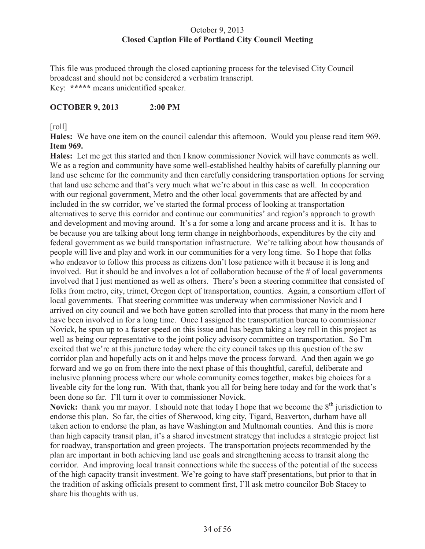## October 9, 2013 **Closed Caption File of Portland City Council Meeting**

This file was produced through the closed captioning process for the televised City Council broadcast and should not be considered a verbatim transcript. Key: **\*\*\*\*\*** means unidentified speaker.

## **OCTOBER 9, 2013 2:00 PM**

## [roll]

**Hales:** We have one item on the council calendar this afternoon. Would you please read item 969. **Item 969.**

**Hales:** Let me get this started and then I know commissioner Novick will have comments as well. We as a region and community have some well-established healthy habits of carefully planning our land use scheme for the community and then carefully considering transportation options for serving that land use scheme and that's very much what we're about in this case as well. In cooperation with our regional government, Metro and the other local governments that are affected by and included in the sw corridor, we've started the formal process of looking at transportation alternatives to serve this corridor and continue our communities' and region's approach to growth and development and moving around. It's a for some a long and arcane process and it is. It has to be because you are talking about long term change in neighborhoods, expenditures by the city and federal government as we build transportation infrastructure. We're talking about how thousands of people will live and play and work in our communities for a very long time. So I hope that folks who endeavor to follow this process as citizens don't lose patience with it because it is long and involved. But it should be and involves a lot of collaboration because of the # of local governments involved that I just mentioned as well as others. There's been a steering committee that consisted of folks from metro, city, trimet, Oregon dept of transportation, counties. Again, a consortium effort of local governments. That steering committee was underway when commissioner Novick and I arrived on city council and we both have gotten scrolled into that process that many in the room here have been involved in for a long time. Once I assigned the transportation bureau to commissioner Novick, he spun up to a faster speed on this issue and has begun taking a key roll in this project as well as being our representative to the joint policy advisory committee on transportation. So I'm excited that we're at this juncture today where the city council takes up this question of the sw corridor plan and hopefully acts on it and helps move the process forward. And then again we go forward and we go on from there into the next phase of this thoughtful, careful, deliberate and inclusive planning process where our whole community comes together, makes big choices for a liveable city for the long run. With that, thank you all for being here today and for the work that's been done so far. I'll turn it over to commissioner Novick.

**Novick:** thank you mr mayor. I should note that today I hope that we become the 8<sup>th</sup> jurisdiction to endorse this plan. So far, the cities of Sherwood, king city, Tigard, Beaverton, durham have all taken action to endorse the plan, as have Washington and Multnomah counties. And this is more than high capacity transit plan, it's a shared investment strategy that includes a strategic project list for roadway, transportation and green projects. The transportation projects recommended by the plan are important in both achieving land use goals and strengthening access to transit along the corridor. And improving local transit connections while the success of the potential of the success of the high capacity transit investment. We're going to have staff presentations, but prior to that in the tradition of asking officials present to comment first, I'll ask metro councilor Bob Stacey to share his thoughts with us.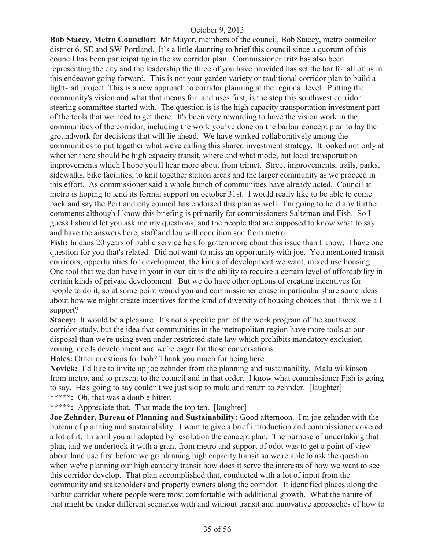**Bob Stacey, Metro Councilor:** Mr Mayor, members of the council, Bob Stacey, metro councilor district 6, SE and SW Portland. It's a little daunting to brief this council since a quorum of this council has been participating in the sw corridor plan. Commissioner fritz has also been representing the city and the leadership the three of you have provided has set the bar for all of us in this endeavor going forward. This is not your garden variety or traditional corridor plan to build a light-rail project. This is a new approach to corridor planning at the regional level. Putting the community's vision and what that means for land uses first, is the step this southwest corridor steering committee started with. The question is is the high capacity transportation investment part of the tools that we need to get there. It's been very rewarding to have the vision work in the communities of the corridor, including the work you've done on the barbur concept plan to lay the groundwork for decisions that will lie ahead. We have worked collaboratively among the communities to put together what we're calling this shared investment strategy. It looked not only at whether there should be high capacity transit, where and what mode, but local transportation improvements which I hope you'll hear more about from trimet. Street improvements, trails, parks, sidewalks, bike facilities, to knit together station areas and the larger community as we proceed in this effort. As commissioner said a whole bunch of communities have already acted. Council at metro is hoping to lend its formal support on october 31st. I would really like to be able to come back and say the Portland city council has endorsed this plan as well. I'm going to hold any further comments although I know this briefing is primarily for commissioners Saltzman and Fish. So I guess I should let you ask me my questions, and the people that are supposed to know what to say and have the answers here, staff and lou will condition son from metro.

**Fish:** In dans 20 years of public service he's forgotten more about this issue than I know. I have one question for you that's related. Did not want to miss an opportunity with joe. You mentioned transit corridors, opportunities for development, the kinds of development we want, mixed use housing. One tool that we don have in your in our kit is the ability to require a certain level of affordability in certain kinds of private development. But we do have other options of creating incentives for people to do it, so at some point would you and commissioner chase in particular share some ideas about how we might create incentives for the kind of diversity of housing choices that I think we all support?

**Stacey:** It would be a pleasure. It's not a specific part of the work program of the southwest corridor study, but the idea that communities in the metropolitan region have more tools at our disposal than we're using even under restricted state law which prohibits mandatory exclusion zoning, needs development and we're eager for those conversations.

**Hales:** Other questions for bob? Thank you much for being here.

**Novick:** I'd like to invite up joe zehnder from the planning and sustainability. Malu wilkinson from metro, and to present to the council and in that order. I know what commissioner Fish is going to say. He's going to say couldn't we just skip to malu and return to zehnder. [laughter] **\*\*\*\*\*:** Oh, that was a double hitter.

**\*\*\*\*\*:** Appreciate that. That made the top ten. [laughter]

**Joe Zehnder, Bureau of Planning and Sustainability:** Good afternoon. I'm joe zehnder with the bureau of planning and sustainability. I want to give a brief introduction and commissioner covered a lot of it. In april you all adopted by resolution the concept plan. The purpose of undertaking that plan, and we undertook it with a grant from metro and support of odot was to get a point of view about land use first before we go planning high capacity transit so we're able to ask the question when we're planning our high capacity transit how does it serve the interests of how we want to see this corridor develop. That plan accomplished that, conducted with a lot of input from the community and stakeholders and property owners along the corridor. It identified places along the barbur corridor where people were most comfortable with additional growth. What the nature of that might be under different scenarios with and without transit and innovative approaches of how to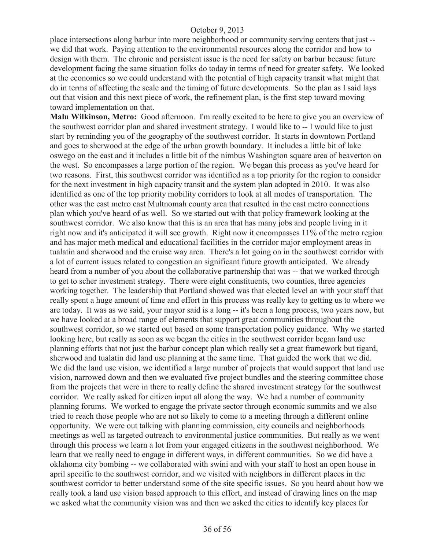place intersections along barbur into more neighborhood or community serving centers that just - we did that work. Paying attention to the environmental resources along the corridor and how to design with them. The chronic and persistent issue is the need for safety on barbur because future development facing the same situation folks do today in terms of need for greater safety. We looked at the economics so we could understand with the potential of high capacity transit what might that do in terms of affecting the scale and the timing of future developments. So the plan as I said lays out that vision and this next piece of work, the refinement plan, is the first step toward moving toward implementation on that.

**Malu Wilkinson, Metro:** Good afternoon. I'm really excited to be here to give you an overview of the southwest corridor plan and shared investment strategy. I would like to -- I would like to just start by reminding you of the geography of the southwest corridor. It starts in downtown Portland and goes to sherwood at the edge of the urban growth boundary. It includes a little bit of lake oswego on the east and it includes a little bit of the nimbus Washington square area of beaverton on the west. So encompasses a large portion of the region. We began this process as you've heard for two reasons. First, this southwest corridor was identified as a top priority for the region to consider for the next investment in high capacity transit and the system plan adopted in 2010. It was also identified as one of the top priority mobility corridors to look at all modes of transportation. The other was the east metro east Multnomah county area that resulted in the east metro connections plan which you've heard of as well. So we started out with that policy framework looking at the southwest corridor. We also know that this is an area that has many jobs and people living in it right now and it's anticipated it will see growth. Right now it encompasses 11% of the metro region and has major meth medical and educational facilities in the corridor major employment areas in tualatin and sherwood and the cruise way area. There's a lot going on in the southwest corridor with a lot of current issues related to congestion an significant future growth anticipated. We already heard from a number of you about the collaborative partnership that was -- that we worked through to get to scher investment strategy. There were eight constituents, two counties, three agencies working together. The leadership that Portland showed was that elected level an with your staff that really spent a huge amount of time and effort in this process was really key to getting us to where we are today. It was as we said, your mayor said is a long -- it's been a long process, two years now, but we have looked at a broad range of elements that support great communities throughout the southwest corridor, so we started out based on some transportation policy guidance. Why we started looking here, but really as soon as we began the cities in the southwest corridor began land use planning efforts that not just the barbur concept plan which really set a great framework but tigard, sherwood and tualatin did land use planning at the same time. That guided the work that we did. We did the land use vision, we identified a large number of projects that would support that land use vision, narrowed down and then we evaluated five project bundles and the steering committee chose from the projects that were in there to really define the shared investment strategy for the southwest corridor. We really asked for citizen input all along the way. We had a number of community planning forums. We worked to engage the private sector through economic summits and we also tried to reach those people who are not so likely to come to a meeting through a different online opportunity. We were out talking with planning commission, city councils and neighborhoods meetings as well as targeted outreach to environmental justice communities. But really as we went through this process we learn a lot from your engaged citizens in the southwest neighborhood. We learn that we really need to engage in different ways, in different communities. So we did have a oklahoma city bombing -- we collaborated with swini and with your staff to host an open house in april specific to the southwest corridor, and we visited with neighbors in different places in the southwest corridor to better understand some of the site specific issues. So you heard about how we really took a land use vision based approach to this effort, and instead of drawing lines on the map we asked what the community vision was and then we asked the cities to identify key places for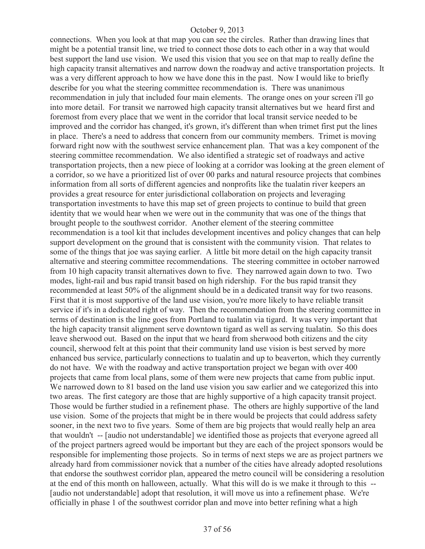connections. When you look at that map you can see the circles. Rather than drawing lines that might be a potential transit line, we tried to connect those dots to each other in a way that would best support the land use vision. We used this vision that you see on that map to really define the high capacity transit alternatives and narrow down the roadway and active transportation projects. It was a very different approach to how we have done this in the past. Now I would like to briefly describe for you what the steering committee recommendation is. There was unanimous recommendation in july that included four main elements. The orange ones on your screen i'll go into more detail. For transit we narrowed high capacity transit alternatives but we heard first and foremost from every place that we went in the corridor that local transit service needed to be improved and the corridor has changed, it's grown, it's different than when trimet first put the lines in place. There's a need to address that concern from our community members. Trimet is moving forward right now with the southwest service enhancement plan. That was a key component of the steering committee recommendation. We also identified a strategic set of roadways and active transportation projects, then a new piece of looking at a corridor was looking at the green element of a corridor, so we have a prioritized list of over 00 parks and natural resource projects that combines information from all sorts of different agencies and nonprofits like the tualatin river keepers an provides a great resource for enter jurisdictional collaboration on projects and leveraging transportation investments to have this map set of green projects to continue to build that green identity that we would hear when we were out in the community that was one of the things that brought people to the southwest corridor. Another element of the steering committee recommendation is a tool kit that includes development incentives and policy changes that can help support development on the ground that is consistent with the community vision. That relates to some of the things that joe was saying earlier. A little bit more detail on the high capacity transit alternative and steering committee recommendations. The steering committee in october narrowed from 10 high capacity transit alternatives down to five. They narrowed again down to two. Two modes, light-rail and bus rapid transit based on high ridership. For the bus rapid transit they recommended at least 50% of the alignment should be in a dedicated transit way for two reasons. First that it is most supportive of the land use vision, you're more likely to have reliable transit service if it's in a dedicated right of way. Then the recommendation from the steering committee in terms of destination is the line goes from Portland to tualatin via tigard. It was very important that the high capacity transit alignment serve downtown tigard as well as serving tualatin. So this does leave sherwood out. Based on the input that we heard from sherwood both citizens and the city council, sherwood felt at this point that their community land use vision is best served by more enhanced bus service, particularly connections to tualatin and up to beaverton, which they currently do not have. We with the roadway and active transportation project we began with over 400 projects that came from local plans, some of them were new projects that came from public input. We narrowed down to 81 based on the land use vision you saw earlier and we categorized this into two areas. The first category are those that are highly supportive of a high capacity transit project. Those would be further studied in a refinement phase. The others are highly supportive of the land use vision. Some of the projects that might be in there would be projects that could address safety sooner, in the next two to five years. Some of them are big projects that would really help an area that wouldn't -- [audio not understandable] we identified those as projects that everyone agreed all of the project partners agreed would be important but they are each of the project sponsors would be responsible for implementing those projects. So in terms of next steps we are as project partners we already hard from commissioner novick that a number of the cities have already adopted resolutions that endorse the southwest corridor plan, appeared the metro council will be considering a resolution at the end of this month on halloween, actually. What this will do is we make it through to this -- [audio not understandable] adopt that resolution, it will move us into a refinement phase. We're officially in phase 1 of the southwest corridor plan and move into better refining what a high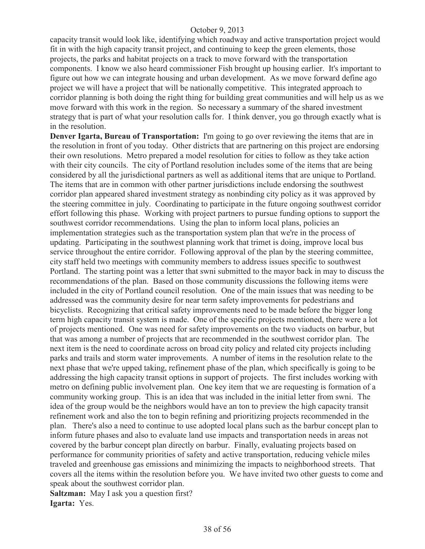capacity transit would look like, identifying which roadway and active transportation project would fit in with the high capacity transit project, and continuing to keep the green elements, those projects, the parks and habitat projects on a track to move forward with the transportation components. I know we also heard commissioner Fish brought up housing earlier. It's important to figure out how we can integrate housing and urban development. As we move forward define ago project we will have a project that will be nationally competitive. This integrated approach to corridor planning is both doing the right thing for building great communities and will help us as we move forward with this work in the region. So necessary a summary of the shared investment strategy that is part of what your resolution calls for. I think denver, you go through exactly what is in the resolution.

**Denver Igarta, Bureau of Transportation:** I'm going to go over reviewing the items that are in the resolution in front of you today. Other districts that are partnering on this project are endorsing their own resolutions. Metro prepared a model resolution for cities to follow as they take action with their city councils. The city of Portland resolution includes some of the items that are being considered by all the jurisdictional partners as well as additional items that are unique to Portland. The items that are in common with other partner jurisdictions include endorsing the southwest corridor plan appeared shared investment strategy as nonbinding city policy as it was approved by the steering committee in july. Coordinating to participate in the future ongoing southwest corridor effort following this phase. Working with project partners to pursue funding options to support the southwest corridor recommendations. Using the plan to inform local plans, policies an implementation strategies such as the transportation system plan that we're in the process of updating. Participating in the southwest planning work that trimet is doing, improve local bus service throughout the entire corridor. Following approval of the plan by the steering committee, city staff held two meetings with community members to address issues specific to southwest Portland. The starting point was a letter that swni submitted to the mayor back in may to discuss the recommendations of the plan. Based on those community discussions the following items were included in the city of Portland council resolution. One of the main issues that was needing to be addressed was the community desire for near term safety improvements for pedestrians and bicyclists. Recognizing that critical safety improvements need to be made before the bigger long term high capacity transit system is made. One of the specific projects mentioned, there were a lot of projects mentioned. One was need for safety improvements on the two viaducts on barbur, but that was among a number of projects that are recommended in the southwest corridor plan. The next item is the need to coordinate across on broad city policy and related city projects including parks and trails and storm water improvements. A number of items in the resolution relate to the next phase that we're upped taking, refinement phase of the plan, which specifically is going to be addressing the high capacity transit options in support of projects. The first includes working with metro on defining public involvement plan. One key item that we are requesting is formation of a community working group. This is an idea that was included in the initial letter from swni. The idea of the group would be the neighbors would have an ton to preview the high capacity transit refinement work and also the ton to begin refining and prioritizing projects recommended in the plan. There's also a need to continue to use adopted local plans such as the barbur concept plan to inform future phases and also to evaluate land use impacts and transportation needs in areas not covered by the barbur concept plan directly on barbur. Finally, evaluating projects based on performance for community priorities of safety and active transportation, reducing vehicle miles traveled and greenhouse gas emissions and minimizing the impacts to neighborhood streets. That covers all the items within the resolution before you. We have invited two other guests to come and speak about the southwest corridor plan.

**Saltzman:** May I ask you a question first? **Igarta:** Yes.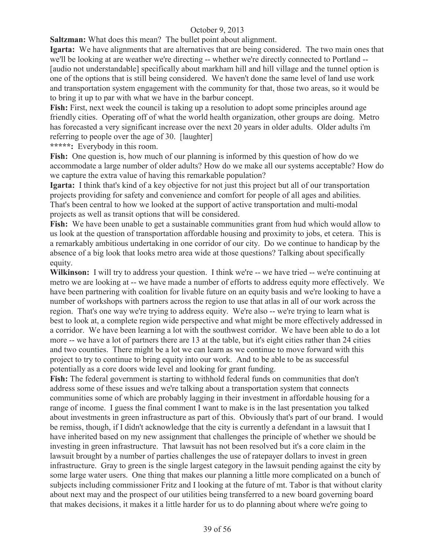**Saltzman:** What does this mean? The bullet point about alignment.

**Igarta:** We have alignments that are alternatives that are being considered. The two main ones that we'll be looking at are weather we're directing -- whether we're directly connected to Portland -- [audio not understandable] specifically about markham hill and hill village and the tunnel option is one of the options that is still being considered. We haven't done the same level of land use work and transportation system engagement with the community for that, those two areas, so it would be to bring it up to par with what we have in the barbur concept.

**Fish:** First, next week the council is taking up a resolution to adopt some principles around age friendly cities. Operating off of what the world health organization, other groups are doing. Metro has forecasted a very significant increase over the next 20 years in older adults. Older adults i'm referring to people over the age of 30. [laughter]

**\*\*\*\*\*:** Everybody in this room.

**Fish:** One question is, how much of our planning is informed by this question of how do we accommodate a large number of older adults? How do we make all our systems acceptable? How do we capture the extra value of having this remarkable population?

**Igarta:** I think that's kind of a key objective for not just this project but all of our transportation projects providing for safety and convenience and comfort for people of all ages and abilities. That's been central to how we looked at the support of active transportation and multi-modal projects as well as transit options that will be considered.

**Fish:** We have been unable to get a sustainable communities grant from hud which would allow to us look at the question of transportation affordable housing and proximity to jobs, et cetera. This is a remarkably ambitious undertaking in one corridor of our city. Do we continue to handicap by the absence of a big look that looks metro area wide at those questions? Talking about specifically equity.

**Wilkinson:** I will try to address your question. I think we're -- we have tried -- we're continuing at metro we are looking at -- we have made a number of efforts to address equity more effectively. We have been partnering with coalition for livable future on an equity basis and we're looking to have a number of workshops with partners across the region to use that atlas in all of our work across the region. That's one way we're trying to address equity. We're also -- we're trying to learn what is best to look at, a complete region wide perspective and what might be more effectively addressed in a corridor. We have been learning a lot with the southwest corridor. We have been able to do a lot more -- we have a lot of partners there are 13 at the table, but it's eight cities rather than 24 cities and two counties. There might be a lot we can learn as we continue to move forward with this project to try to continue to bring equity into our work. And to be able to be as successful potentially as a core doors wide level and looking for grant funding.

**Fish:** The federal government is starting to withhold federal funds on communities that don't address some of these issues and we're talking about a transportation system that connects communities some of which are probably lagging in their investment in affordable housing for a range of income. I guess the final comment I want to make is in the last presentation you talked about investments in green infrastructure as part of this. Obviously that's part of our brand. I would be remiss, though, if I didn't acknowledge that the city is currently a defendant in a lawsuit that I have inherited based on my new assignment that challenges the principle of whether we should be investing in green infrastructure. That lawsuit has not been resolved but it's a core claim in the lawsuit brought by a number of parties challenges the use of ratepayer dollars to invest in green infrastructure. Gray to green is the single largest category in the lawsuit pending against the city by some large water users. One thing that makes our planning a little more complicated on a bunch of subjects including commissioner Fritz and I looking at the future of mt. Tabor is that without clarity about next may and the prospect of our utilities being transferred to a new board governing board that makes decisions, it makes it a little harder for us to do planning about where we're going to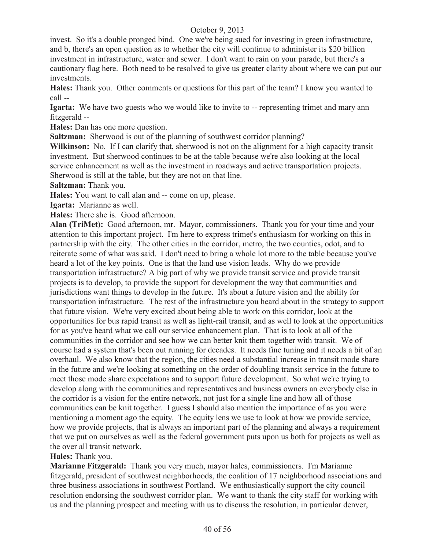invest. So it's a double pronged bind. One we're being sued for investing in green infrastructure, and b, there's an open question as to whether the city will continue to administer its \$20 billion investment in infrastructure, water and sewer. I don't want to rain on your parade, but there's a cautionary flag here. Both need to be resolved to give us greater clarity about where we can put our investments.

**Hales:** Thank you. Other comments or questions for this part of the team? I know you wanted to call --

**Igarta:** We have two guests who we would like to invite to -- representing trimet and mary ann fitzgerald --

**Hales:** Dan has one more question.

**Saltzman:** Sherwood is out of the planning of southwest corridor planning?

Wilkinson: No. If I can clarify that, sherwood is not on the alignment for a high capacity transit investment. But sherwood continues to be at the table because we're also looking at the local service enhancement as well as the investment in roadways and active transportation projects. Sherwood is still at the table, but they are not on that line.

**Saltzman:** Thank you.

**Hales:** You want to call alan and -- come on up, please.

**Igarta:** Marianne as well.

**Hales:** There she is. Good afternoon.

Alan (TriMet): Good afternoon, mr. Mayor, commissioners. Thank you for your time and your attention to this important project. I'm here to express trimet's enthusiasm for working on this in partnership with the city. The other cities in the corridor, metro, the two counties, odot, and to reiterate some of what was said. I don't need to bring a whole lot more to the table because you've heard a lot of the key points. One is that the land use vision leads. Why do we provide transportation infrastructure? A big part of why we provide transit service and provide transit projects is to develop, to provide the support for development the way that communities and jurisdictions want things to develop in the future. It's about a future vision and the ability for transportation infrastructure. The rest of the infrastructure you heard about in the strategy to support that future vision. We're very excited about being able to work on this corridor, look at the opportunities for bus rapid transit as well as light-rail transit, and as well to look at the opportunities for as you've heard what we call our service enhancement plan. That is to look at all of the communities in the corridor and see how we can better knit them together with transit. We of course had a system that's been out running for decades. It needs fine tuning and it needs a bit of an overhaul. We also know that the region, the cities need a substantial increase in transit mode share in the future and we're looking at something on the order of doubling transit service in the future to meet those mode share expectations and to support future development. So what we're trying to develop along with the communities and representatives and business owners an everybody else in the corridor is a vision for the entire network, not just for a single line and how all of those communities can be knit together. I guess I should also mention the importance of as you were mentioning a moment ago the equity. The equity lens we use to look at how we provide service, how we provide projects, that is always an important part of the planning and always a requirement that we put on ourselves as well as the federal government puts upon us both for projects as well as the over all transit network.

#### **Hales:** Thank you.

**Marianne Fitzgerald:** Thank you very much, mayor hales, commissioners. I'm Marianne fitzgerald, president of southwest neighborhoods, the coalition of 17 neighborhood associations and three business associations in southwest Portland. We enthusiastically support the city council resolution endorsing the southwest corridor plan. We want to thank the city staff for working with us and the planning prospect and meeting with us to discuss the resolution, in particular denver,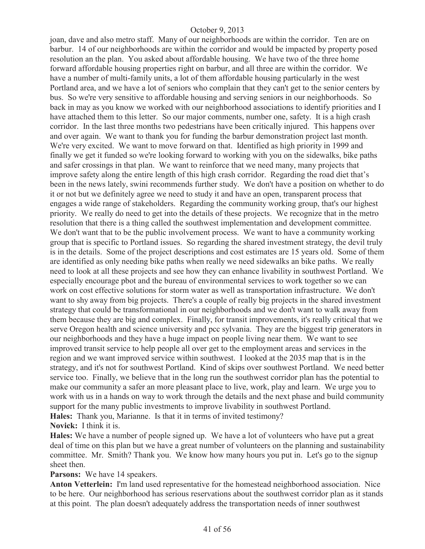joan, dave and also metro staff. Many of our neighborhoods are within the corridor. Ten are on barbur. 14 of our neighborhoods are within the corridor and would be impacted by property posed resolution an the plan. You asked about affordable housing. We have two of the three home forward affordable housing properties right on barbur, and all three are within the corridor. We have a number of multi-family units, a lot of them affordable housing particularly in the west Portland area, and we have a lot of seniors who complain that they can't get to the senior centers by bus. So we're very sensitive to affordable housing and serving seniors in our neighborhoods. So back in may as you know we worked with our neighborhood associations to identify priorities and I have attached them to this letter. So our major comments, number one, safety. It is a high crash corridor. In the last three months two pedestrians have been critically injured. This happens over and over again. We want to thank you for funding the barbur demonstration project last month. We're very excited. We want to move forward on that. Identified as high priority in 1999 and finally we get it funded so we're looking forward to working with you on the sidewalks, bike paths and safer crossings in that plan. We want to reinforce that we need many, many projects that improve safety along the entire length of this high crash corridor. Regarding the road diet that's been in the news lately, swini recommends further study. We don't have a position on whether to do it or not but we definitely agree we need to study it and have an open, transparent process that engages a wide range of stakeholders. Regarding the community working group, that's our highest priority. We really do need to get into the details of these projects. We recognize that in the metro resolution that there is a thing called the southwest implementation and development committee. We don't want that to be the public involvement process. We want to have a community working group that is specific to Portland issues. So regarding the shared investment strategy, the devil truly is in the details. Some of the project descriptions and cost estimates are 15 years old. Some of them are identified as only needing bike paths when really we need sidewalks an bike paths. We really need to look at all these projects and see how they can enhance livability in southwest Portland. We especially encourage pbot and the bureau of environmental services to work together so we can work on cost effective solutions for storm water as well as transportation infrastructure. We don't want to shy away from big projects. There's a couple of really big projects in the shared investment strategy that could be transformational in our neighborhoods and we don't want to walk away from them because they are big and complex. Finally, for transit improvements, it's really critical that we serve Oregon health and science university and pcc sylvania. They are the biggest trip generators in our neighborhoods and they have a huge impact on people living near them. We want to see improved transit service to help people all over get to the employment areas and services in the region and we want improved service within southwest. I looked at the 2035 map that is in the strategy, and it's not for southwest Portland. Kind of skips over southwest Portland. We need better service too. Finally, we believe that in the long run the southwest corridor plan has the potential to make our community a safer an more pleasant place to live, work, play and learn. We urge you to work with us in a hands on way to work through the details and the next phase and build community support for the many public investments to improve livability in southwest Portland. **Hales:** Thank you, Marianne. Is that it in terms of invited testimony? **Novick:** I think it is.

**Hales:** We have a number of people signed up. We have a lot of volunteers who have put a great deal of time on this plan but we have a great number of volunteers on the planning and sustainability committee. Mr. Smith? Thank you. We know how many hours you put in. Let's go to the signup sheet then.

**Parsons:** We have 14 speakers.

**Anton Vetterlein:** I'm land used representative for the homestead neighborhood association. Nice to be here. Our neighborhood has serious reservations about the southwest corridor plan as it stands at this point. The plan doesn't adequately address the transportation needs of inner southwest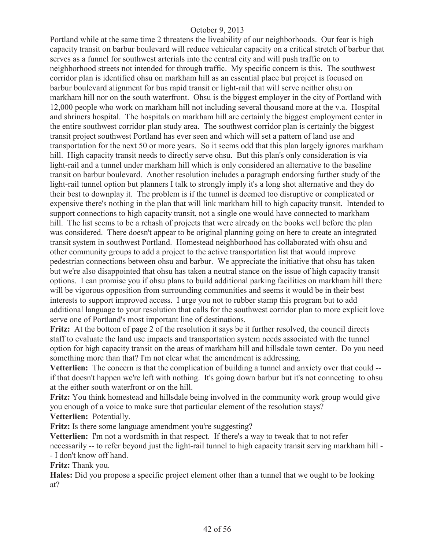Portland while at the same time 2 threatens the liveability of our neighborhoods. Our fear is high capacity transit on barbur boulevard will reduce vehicular capacity on a critical stretch of barbur that serves as a funnel for southwest arterials into the central city and will push traffic on to neighborhood streets not intended for through traffic. My specific concern is this. The southwest corridor plan is identified ohsu on markham hill as an essential place but project is focused on barbur boulevard alignment for bus rapid transit or light-rail that will serve neither ohsu on markham hill nor on the south waterfront. Ohsu is the biggest employer in the city of Portland with 12,000 people who work on markham hill not including several thousand more at the v.a. Hospital and shriners hospital. The hospitals on markham hill are certainly the biggest employment center in the entire southwest corridor plan study area. The southwest corridor plan is certainly the biggest transit project southwest Portland has ever seen and which will set a pattern of land use and transportation for the next 50 or more years. So it seems odd that this plan largely ignores markham hill. High capacity transit needs to directly serve ohsu. But this plan's only consideration is via light-rail and a tunnel under markham hill which is only considered an alternative to the baseline transit on barbur boulevard. Another resolution includes a paragraph endorsing further study of the light-rail tunnel option but planners I talk to strongly imply it's a long shot alternative and they do their best to downplay it. The problem is if the tunnel is deemed too disruptive or complicated or expensive there's nothing in the plan that will link markham hill to high capacity transit. Intended to support connections to high capacity transit, not a single one would have connected to markham hill. The list seems to be a rehash of projects that were already on the books well before the plan was considered. There doesn't appear to be original planning going on here to create an integrated transit system in southwest Portland. Homestead neighborhood has collaborated with ohsu and other community groups to add a project to the active transportation list that would improve pedestrian connections between ohsu and barbur. We appreciate the initiative that ohsu has taken but we're also disappointed that ohsu has taken a neutral stance on the issue of high capacity transit options. I can promise you if ohsu plans to build additional parking facilities on markham hill there will be vigorous opposition from surrounding communities and seems it would be in their best interests to support improved access. I urge you not to rubber stamp this program but to add additional language to your resolution that calls for the southwest corridor plan to more explicit love serve one of Portland's most important line of destinations.

**Fritz:** At the bottom of page 2 of the resolution it says be it further resolved, the council directs staff to evaluate the land use impacts and transportation system needs associated with the tunnel option for high capacity transit on the areas of markham hill and hillsdale town center. Do you need something more than that? I'm not clear what the amendment is addressing.

**Vetterlien:** The concern is that the complication of building a tunnel and anxiety over that could - if that doesn't happen we're left with nothing. It's going down barbur but it's not connecting to ohsu at the either south waterfront or on the hill.

**Fritz:** You think homestead and hillsdale being involved in the community work group would give you enough of a voice to make sure that particular element of the resolution stays?

**Vetterlien:** Potentially.

Fritz: Is there some language amendment you're suggesting?

**Vetterlien:** I'm not a wordsmith in that respect. If there's a way to tweak that to not refer necessarily -- to refer beyond just the light-rail tunnel to high capacity transit serving markham hill - - I don't know off hand.

**Fritz:** Thank you.

**Hales:** Did you propose a specific project element other than a tunnel that we ought to be looking at?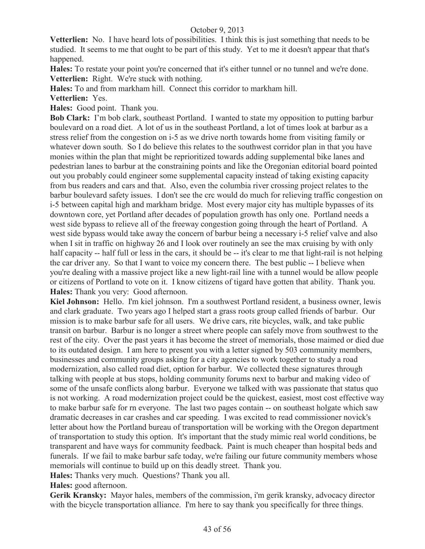**Vetterlien:** No. I have heard lots of possibilities. I think this is just something that needs to be studied. It seems to me that ought to be part of this study. Yet to me it doesn't appear that that's happened.

**Hales:** To restate your point you're concerned that it's either tunnel or no tunnel and we're done. **Vetterlien:** Right. We're stuck with nothing.

**Hales:** To and from markham hill. Connect this corridor to markham hill.

**Vetterlien:** Yes.

**Hales:** Good point. Thank you.

**Bob Clark:** I'm bob clark, southeast Portland. I wanted to state my opposition to putting barbur boulevard on a road diet. A lot of us in the southeast Portland, a lot of times look at barbur as a stress relief from the congestion on i-5 as we drive north towards home from visiting family or whatever down south. So I do believe this relates to the southwest corridor plan in that you have monies within the plan that might be reprioritized towards adding supplemental bike lanes and pedestrian lanes to barbur at the constraining points and like the Oregonian editorial board pointed out you probably could engineer some supplemental capacity instead of taking existing capacity from bus readers and cars and that. Also, even the columbia river crossing project relates to the barbur boulevard safety issues. I don't see the crc would do much for relieving traffic congestion on i-5 between capital high and markham bridge. Most every major city has multiple bypasses of its downtown core, yet Portland after decades of population growth has only one. Portland needs a west side bypass to relieve all of the freeway congestion going through the heart of Portland. A west side bypass would take away the concern of barbur being a necessary i-5 relief valve and also when I sit in traffic on highway 26 and I look over routinely an see the max cruising by with only half capacity -- half full or less in the cars, it should be -- it's clear to me that light-rail is not helping the car driver any. So that I want to voice my concern there. The best public -- I believe when you're dealing with a massive project like a new light-rail line with a tunnel would be allow people or citizens of Portland to vote on it. I know citizens of tigard have gotten that ability. Thank you. **Hales:** Thank you very: Good afternoon.

**Kiel Johnson:** Hello. I'm kiel johnson. I'm a southwest Portland resident, a business owner, lewis and clark graduate. Two years ago I helped start a grass roots group called friends of barbur. Our mission is to make barbur safe for all users. We drive cars, rite bicycles, walk, and take public transit on barbur. Barbur is no longer a street where people can safely move from southwest to the rest of the city. Over the past years it has become the street of memorials, those maimed or died due to its outdated design. I am here to present you with a letter signed by 503 community members, businesses and community groups asking for a city agencies to work together to study a road modernization, also called road diet, option for barbur. We collected these signatures through talking with people at bus stops, holding community forums next to barbur and making video of some of the unsafe conflicts along barbur. Everyone we talked with was passionate that status quo is not working. A road modernization project could be the quickest, easiest, most cost effective way to make barbur safe for rn everyone. The last two pages contain -- on southeast holgate which saw dramatic decreases in car crashes and car speeding. I was excited to read commissioner novick's letter about how the Portland bureau of transportation will be working with the Oregon department of transportation to study this option. It's important that the study mimic real world conditions, be transparent and have ways for community feedback. Paint is much cheaper than hospital beds and funerals. If we fail to make barbur safe today, we're failing our future community members whose memorials will continue to build up on this deadly street. Thank you.

**Hales:** Thanks very much. Questions? Thank you all.

**Hales:** good afternoon.

**Gerik Kransky:** Mayor hales, members of the commission, i'm gerik kransky, advocacy director with the bicycle transportation alliance. I'm here to say thank you specifically for three things.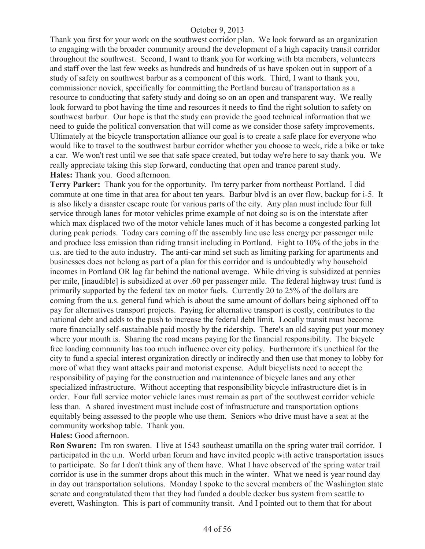Thank you first for your work on the southwest corridor plan. We look forward as an organization to engaging with the broader community around the development of a high capacity transit corridor throughout the southwest. Second, I want to thank you for working with bta members, volunteers and staff over the last few weeks as hundreds and hundreds of us have spoken out in support of a study of safety on southwest barbur as a component of this work. Third, I want to thank you, commissioner novick, specifically for committing the Portland bureau of transportation as a resource to conducting that safety study and doing so on an open and transparent way. We really look forward to pbot having the time and resources it needs to find the right solution to safety on southwest barbur. Our hope is that the study can provide the good technical information that we need to guide the political conversation that will come as we consider those safety improvements. Ultimately at the bicycle transportation alliance our goal is to create a safe place for everyone who would like to travel to the southwest barbur corridor whether you choose to week, ride a bike or take a car. We won't rest until we see that safe space created, but today we're here to say thank you. We really appreciate taking this step forward, conducting that open and trance parent study. **Hales:** Thank you. Good afternoon.

**Terry Parker:** Thank you for the opportunity. I'm terry parker from northeast Portland. I did commute at one time in that area for about ten years. Barbur blvd is an over flow, backup for i-5. It is also likely a disaster escape route for various parts of the city. Any plan must include four full service through lanes for motor vehicles prime example of not doing so is on the interstate after which max displaced two of the motor vehicle lanes much of it has become a congested parking lot during peak periods. Today cars coming off the assembly line use less energy per passenger mile and produce less emission than riding transit including in Portland. Eight to 10% of the jobs in the u.s. are tied to the auto industry. The anti-car mind set such as limiting parking for apartments and businesses does not belong as part of a plan for this corridor and is undoubtedly why household incomes in Portland OR lag far behind the national average. While driving is subsidized at pennies per mile, [inaudible] is subsidized at over .60 per passenger mile. The federal highway trust fund is primarily supported by the federal tax on motor fuels. Currently 20 to 25% of the dollars are coming from the u.s. general fund which is about the same amount of dollars being siphoned off to pay for alternatives transport projects. Paying for alternative transport is costly, contributes to the national debt and adds to the push to increase the federal debt limit. Locally transit must become more financially self-sustainable paid mostly by the ridership. There's an old saying put your money where your mouth is. Sharing the road means paying for the financial responsibility. The bicycle free loading community has too much influence over city policy. Furthermore it's unethical for the city to fund a special interest organization directly or indirectly and then use that money to lobby for more of what they want attacks pair and motorist expense. Adult bicyclists need to accept the responsibility of paying for the construction and maintenance of bicycle lanes and any other specialized infrastructure. Without accepting that responsibility bicycle infrastructure diet is in order. Four full service motor vehicle lanes must remain as part of the southwest corridor vehicle less than. A shared investment must include cost of infrastructure and transportation options equitably being assessed to the people who use them. Seniors who drive must have a seat at the community workshop table. Thank you.

#### **Hales:** Good afternoon.

**Ron Swaren:** I'm ron swaren. I live at 1543 southeast umatilla on the spring water trail corridor. I participated in the u.n. World urban forum and have invited people with active transportation issues to participate. So far I don't think any of them have. What I have observed of the spring water trail corridor is use in the summer drops about this much in the winter. What we need is year round day in day out transportation solutions. Monday I spoke to the several members of the Washington state senate and congratulated them that they had funded a double decker bus system from seattle to everett, Washington. This is part of community transit. And I pointed out to them that for about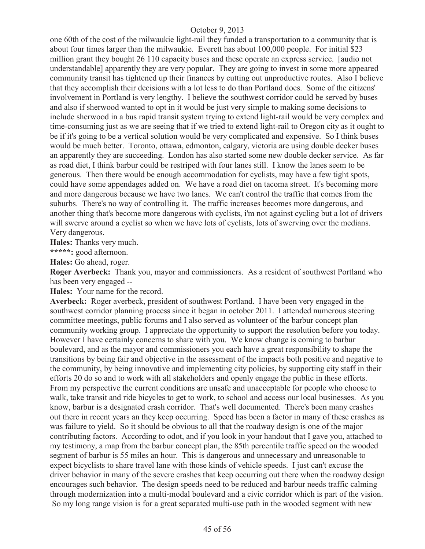one 60th of the cost of the milwaukie light-rail they funded a transportation to a community that is about four times larger than the milwaukie. Everett has about 100,000 people. For initial \$23 million grant they bought 26 110 capacity buses and these operate an express service. [audio not understandable] apparently they are very popular. They are going to invest in some more appeared community transit has tightened up their finances by cutting out unproductive routes. Also I believe that they accomplish their decisions with a lot less to do than Portland does. Some of the citizens' involvement in Portland is very lengthy. I believe the southwest corridor could be served by buses and also if sherwood wanted to opt in it would be just very simple to making some decisions to include sherwood in a bus rapid transit system trying to extend light-rail would be very complex and time-consuming just as we are seeing that if we tried to extend light-rail to Oregon city as it ought to be if it's going to be a vertical solution would be very complicated and expensive. So I think buses would be much better. Toronto, ottawa, edmonton, calgary, victoria are using double decker buses an apparently they are succeeding. London has also started some new double decker service. As far as road diet, I think barbur could be restriped with four lanes still. I know the lanes seem to be generous. Then there would be enough accommodation for cyclists, may have a few tight spots, could have some appendages added on. We have a road diet on tacoma street. It's becoming more and more dangerous because we have two lanes. We can't control the traffic that comes from the suburbs. There's no way of controlling it. The traffic increases becomes more dangerous, and another thing that's become more dangerous with cyclists, i'm not against cycling but a lot of drivers will swerve around a cyclist so when we have lots of cyclists, lots of swerving over the medians. Very dangerous.

**Hales:** Thanks very much.

**\*\*\*\*\*:** good afternoon.

**Hales:** Go ahead, roger.

**Roger Averbeck:** Thank you, mayor and commissioners. As a resident of southwest Portland who has been very engaged --

**Hales:** Your name for the record.

**Averbeck:** Roger averbeck, president of southwest Portland. I have been very engaged in the southwest corridor planning process since it began in october 2011. I attended numerous steering committee meetings, public forums and I also served as volunteer of the barbur concept plan community working group. I appreciate the opportunity to support the resolution before you today. However I have certainly concerns to share with you. We know change is coming to barbur boulevard, and as the mayor and commissioners you each have a great responsibility to shape the transitions by being fair and objective in the assessment of the impacts both positive and negative to the community, by being innovative and implementing city policies, by supporting city staff in their efforts 20 do so and to work with all stakeholders and openly engage the public in these efforts. From my perspective the current conditions are unsafe and unacceptable for people who choose to walk, take transit and ride bicycles to get to work, to school and access our local businesses. As you know, barbur is a designated crash corridor. That's well documented. There's been many crashes out there in recent years an they keep occurring. Speed has been a factor in many of these crashes as was failure to yield. So it should be obvious to all that the roadway design is one of the major contributing factors. According to odot, and if you look in your handout that I gave you, attached to my testimony, a map from the barbur concept plan, the 85th percentile traffic speed on the wooded segment of barbur is 55 miles an hour. This is dangerous and unnecessary and unreasonable to expect bicyclists to share travel lane with those kinds of vehicle speeds. I just can't excuse the driver behavior in many of the severe crashes that keep occurring out there when the roadway design encourages such behavior. The design speeds need to be reduced and barbur needs traffic calming through modernization into a multi-modal boulevard and a civic corridor which is part of the vision. So my long range vision is for a great separated multi-use path in the wooded segment with new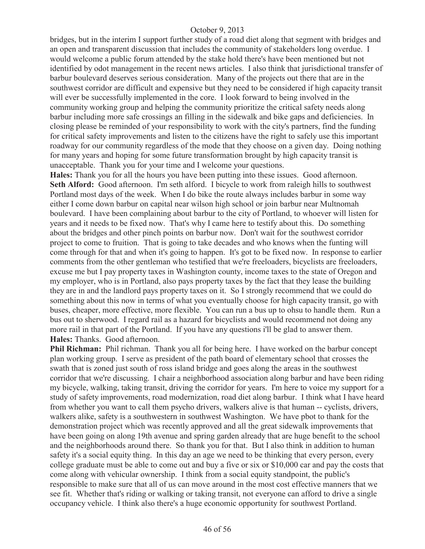bridges, but in the interim I support further study of a road diet along that segment with bridges and an open and transparent discussion that includes the community of stakeholders long overdue. I would welcome a public forum attended by the stake hold there's have been mentioned but not identified by odot management in the recent news articles. I also think that jurisdictional transfer of barbur boulevard deserves serious consideration. Many of the projects out there that are in the southwest corridor are difficult and expensive but they need to be considered if high capacity transit will ever be successfully implemented in the core. I look forward to being involved in the community working group and helping the community prioritize the critical safety needs along barbur including more safe crossings an filling in the sidewalk and bike gaps and deficiencies. In closing please be reminded of your responsibility to work with the city's partners, find the funding for critical safety improvements and listen to the citizens have the right to safely use this important roadway for our community regardless of the mode that they choose on a given day. Doing nothing for many years and hoping for some future transformation brought by high capacity transit is unacceptable. Thank you for your time and I welcome your questions.

**Hales:** Thank you for all the hours you have been putting into these issues. Good afternoon. **Seth Alford:** Good afternoon. I'm seth alford. I bicycle to work from raleigh hills to southwest Portland most days of the week. When I do bike the route always includes barbur in some way either I come down barbur on capital near wilson high school or join barbur near Multnomah boulevard. I have been complaining about barbur to the city of Portland, to whoever will listen for years and it needs to be fixed now. That's why I came here to testify about this. Do something about the bridges and other pinch points on barbur now. Don't wait for the southwest corridor project to come to fruition. That is going to take decades and who knows when the funting will come through for that and when it's going to happen. It's got to be fixed now. In response to earlier comments from the other gentleman who testified that we're freeloaders, bicyclists are freeloaders, excuse me but I pay property taxes in Washington county, income taxes to the state of Oregon and my employer, who is in Portland, also pays property taxes by the fact that they lease the building they are in and the landlord pays property taxes on it. So I strongly recommend that we could do something about this now in terms of what you eventually choose for high capacity transit, go with buses, cheaper, more effective, more flexible. You can run a bus up to ohsu to handle them. Run a bus out to sherwood. I regard rail as a hazard for bicyclists and would recommend not doing any more rail in that part of the Portland. If you have any questions i'll be glad to answer them. **Hales:** Thanks. Good afternoon.

**Phil Richman:** Phil richman. Thank you all for being here. I have worked on the barbur concept plan working group. I serve as president of the path board of elementary school that crosses the swath that is zoned just south of ross island bridge and goes along the areas in the southwest corridor that we're discussing. I chair a neighborhood association along barbur and have been riding my bicycle, walking, taking transit, driving the corridor for years. I'm here to voice my support for a study of safety improvements, road modernization, road diet along barbur. I think what I have heard from whether you want to call them psycho drivers, walkers alive is that human -- cyclists, drivers, walkers alike, safety is a southwestern in southwest Washington. We have pbot to thank for the demonstration project which was recently approved and all the great sidewalk improvements that have been going on along 19th avenue and spring garden already that are huge benefit to the school and the neighborhoods around there. So thank you for that. But I also think in addition to human safety it's a social equity thing. In this day an age we need to be thinking that every person, every college graduate must be able to come out and buy a five or six or \$10,000 car and pay the costs that come along with vehicular ownership. I think from a social equity standpoint, the public's responsible to make sure that all of us can move around in the most cost effective manners that we see fit. Whether that's riding or walking or taking transit, not everyone can afford to drive a single occupancy vehicle. I think also there's a huge economic opportunity for southwest Portland.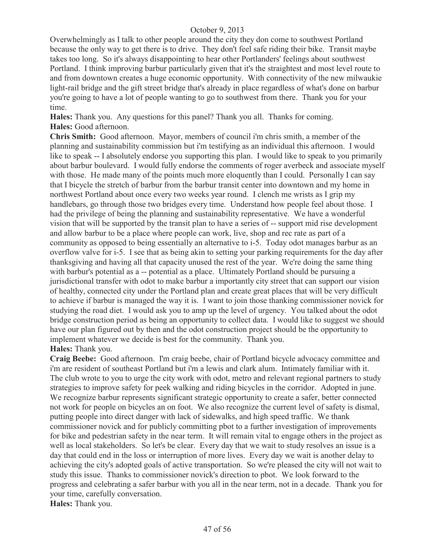Overwhelmingly as I talk to other people around the city they don come to southwest Portland because the only way to get there is to drive. They don't feel safe riding their bike. Transit maybe takes too long. So it's always disappointing to hear other Portlanders' feelings about southwest Portland. I think improving barbur particularly given that it's the straightest and most level route to and from downtown creates a huge economic opportunity. With connectivity of the new milwaukie light-rail bridge and the gift street bridge that's already in place regardless of what's done on barbur you're going to have a lot of people wanting to go to southwest from there. Thank you for your time.

**Hales:** Thank you. Any questions for this panel? Thank you all. Thanks for coming. **Hales:** Good afternoon.

**Chris Smith:** Good afternoon. Mayor, members of council i'm chris smith, a member of the planning and sustainability commission but i'm testifying as an individual this afternoon. I would like to speak -- I absolutely endorse you supporting this plan. I would like to speak to you primarily about barbur boulevard. I would fully endorse the comments of roger averbeck and associate myself with those. He made many of the points much more eloquently than I could. Personally I can say that I bicycle the stretch of barbur from the barbur transit center into downtown and my home in northwest Portland about once every two weeks year round. I clench me wrists as I grip my handlebars, go through those two bridges every time. Understand how people feel about those. I had the privilege of being the planning and sustainability representative. We have a wonderful vision that will be supported by the transit plan to have a series of -- support mid rise development and allow barbur to be a place where people can work, live, shop and rec rate as part of a community as opposed to being essentially an alternative to i-5. Today odot manages barbur as an overflow valve for i-5. I see that as being akin to setting your parking requirements for the day after thanksgiving and having all that capacity unused the rest of the year. We're doing the same thing with barbur's potential as a -- potential as a place. Ultimately Portland should be pursuing a jurisdictional transfer with odot to make barbur a importantly city street that can support our vision of healthy, connected city under the Portland plan and create great places that will be very difficult to achieve if barbur is managed the way it is. I want to join those thanking commissioner novick for studying the road diet. I would ask you to amp up the level of urgency. You talked about the odot bridge construction period as being an opportunity to collect data. I would like to suggest we should have our plan figured out by then and the odot construction project should be the opportunity to implement whatever we decide is best for the community. Thank you. **Hales:** Thank you.

**Craig Beebe:** Good afternoon. I'm craig beebe, chair of Portland bicycle advocacy committee and i'm are resident of southeast Portland but i'm a lewis and clark alum. Intimately familiar with it. The club wrote to you to urge the city work with odot, metro and relevant regional partners to study strategies to improve safety for peek walking and riding bicycles in the corridor. Adopted in june. We recognize barbur represents significant strategic opportunity to create a safer, better connected not work for people on bicycles an on foot. We also recognize the current level of safety is dismal, putting people into direct danger with lack of sidewalks, and high speed traffic. We thank commissioner novick and for publicly committing pbot to a further investigation of improvements for bike and pedestrian safety in the near term. It will remain vital to engage others in the project as well as local stakeholders. So let's be clear. Every day that we wait to study resolves an issue is a day that could end in the loss or interruption of more lives. Every day we wait is another delay to achieving the city's adopted goals of active transportation. So we're pleased the city will not wait to study this issue. Thanks to commissioner novick's direction to pbot. We look forward to the progress and celebrating a safer barbur with you all in the near term, not in a decade. Thank you for your time, carefully conversation.

**Hales:** Thank you.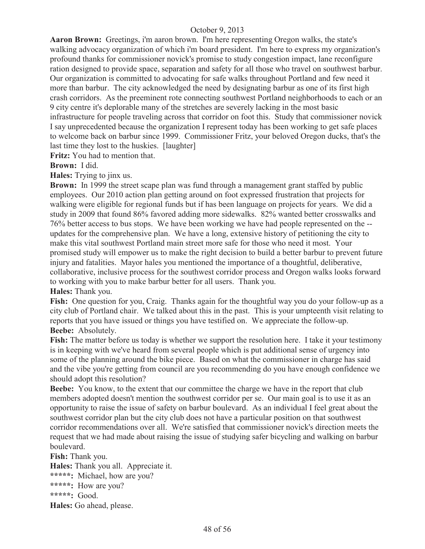**Aaron Brown:** Greetings, i'm aaron brown. I'm here representing Oregon walks, the state's walking advocacy organization of which i'm board president. I'm here to express my organization's profound thanks for commissioner novick's promise to study congestion impact, lane reconfigure ration designed to provide space, separation and safety for all those who travel on southwest barbur. Our organization is committed to advocating for safe walks throughout Portland and few need it more than barbur. The city acknowledged the need by designating barbur as one of its first high crash corridors. As the preeminent rote connecting southwest Portland neighborhoods to each or an 9 city centre it's deplorable many of the stretches are severely lacking in the most basic infrastructure for people traveling across that corridor on foot this. Study that commissioner novick I say unprecedented because the organization I represent today has been working to get safe places to welcome back on barbur since 1999. Commissioner Fritz, your beloved Oregon ducks, that's the last time they lost to the huskies. [laughter]

**Fritz:** You had to mention that.

**Brown:** I did.

**Hales:** Trying to jinx us.

**Brown:** In 1999 the street scape plan was fund through a management grant staffed by public employees. Our 2010 action plan getting around on foot expressed frustration that projects for walking were eligible for regional funds but if has been language on projects for years. We did a study in 2009 that found 86% favored adding more sidewalks. 82% wanted better crosswalks and 76% better access to bus stops. We have been working we have had people represented on the - updates for the comprehensive plan. We have a long, extensive history of petitioning the city to make this vital southwest Portland main street more safe for those who need it most. Your promised study will empower us to make the right decision to build a better barbur to prevent future injury and fatalities. Mayor hales you mentioned the importance of a thoughtful, deliberative, collaborative, inclusive process for the southwest corridor process and Oregon walks looks forward to working with you to make barbur better for all users. Thank you.

**Hales:** Thank you.

Fish: One question for you, Craig. Thanks again for the thoughtful way you do your follow-up as a city club of Portland chair. We talked about this in the past. This is your umpteenth visit relating to reports that you have issued or things you have testified on. We appreciate the follow-up. **Beebe:** Absolutely.

**Fish:** The matter before us today is whether we support the resolution here. I take it your testimony is in keeping with we've heard from several people which is put additional sense of urgency into some of the planning around the bike piece. Based on what the commissioner in charge has said and the vibe you're getting from council are you recommending do you have enough confidence we should adopt this resolution?

**Beebe:** You know, to the extent that our committee the charge we have in the report that club members adopted doesn't mention the southwest corridor per se. Our main goal is to use it as an opportunity to raise the issue of safety on barbur boulevard. As an individual I feel great about the southwest corridor plan but the city club does not have a particular position on that southwest corridor recommendations over all. We're satisfied that commissioner novick's direction meets the request that we had made about raising the issue of studying safer bicycling and walking on barbur boulevard.

**Fish:** Thank you. **Hales:** Thank you all. Appreciate it. **\*\*\*\*\*:** Michael, how are you? **\*\*\*\*\*:** How are you? **\*\*\*\*\*:** Good. **Hales:** Go ahead, please.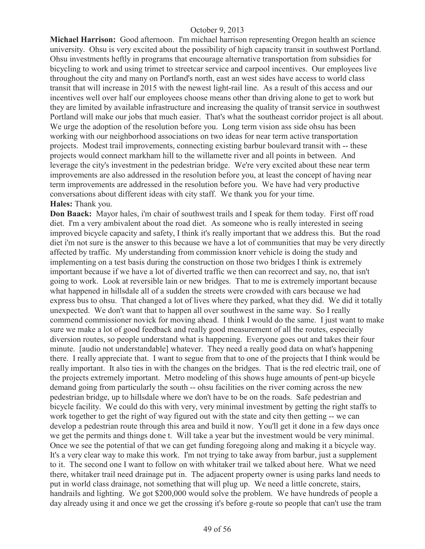**Michael Harrison:** Good afternoon. I'm michael harrison representing Oregon health an science university. Ohsu is very excited about the possibility of high capacity transit in southwest Portland. Ohsu investments heftly in programs that encourage alternative transportation from subsidies for bicycling to work and using trimet to streetcar service and carpool incentives. Our employees live throughout the city and many on Portland's north, east an west sides have access to world class transit that will increase in 2015 with the newest light-rail line. As a result of this access and our incentives well over half our employees choose means other than driving alone to get to work but they are limited by available infrastructure and increasing the quality of transit service in southwest Portland will make our jobs that much easier. That's what the southeast corridor project is all about. We urge the adoption of the resolution before you. Long term vision ass side ohsu has been working with our neighborhood associations on two ideas for near term active transportation projects. Modest trail improvements, connecting existing barbur boulevard transit with -- these projects would connect markham hill to the willamette river and all points in between. And leverage the city's investment in the pedestrian bridge. We're very excited about these near term improvements are also addressed in the resolution before you, at least the concept of having near term improvements are addressed in the resolution before you. We have had very productive conversations about different ideas with city staff. We thank you for your time. **Hales:** Thank you.

**Don Baack:** Mayor hales, i'm chair of southwest trails and I speak for them today. First off road diet. I'm a very ambivalent about the road diet. As someone who is really interested in seeing improved bicycle capacity and safety, I think it's really important that we address this. But the road diet i'm not sure is the answer to this because we have a lot of communities that may be very directly affected by traffic. My understanding from commission knorr vehicle is doing the study and implementing on a test basis during the construction on those two bridges I think is extremely important because if we have a lot of diverted traffic we then can recorrect and say, no, that isn't going to work. Look at reversible lain or new bridges. That to me is extremely important because what happened in hillsdale all of a sudden the streets were crowded with cars because we had express bus to ohsu. That changed a lot of lives where they parked, what they did. We did it totally unexpected. We don't want that to happen all over southwest in the same way. So I really commend commissioner novick for moving ahead. I think I would do the same. I just want to make sure we make a lot of good feedback and really good measurement of all the routes, especially diversion routes, so people understand what is happening. Everyone goes out and takes their four minute. [audio not understandable] whatever. They need a really good data on what's happening there. I really appreciate that. I want to segue from that to one of the projects that I think would be really important. It also ties in with the changes on the bridges. That is the red electric trail, one of the projects extremely important. Metro modeling of this shows huge amounts of pent-up bicycle demand going from particularly the south -- ohsu facilities on the river coming across the new pedestrian bridge, up to hillsdale where we don't have to be on the roads. Safe pedestrian and bicycle facility. We could do this with very, very minimal investment by getting the right staffs to work together to get the right of way figured out with the state and city then getting -- we can develop a pedestrian route through this area and build it now. You'll get it done in a few days once we get the permits and things done t. Will take a year but the investment would be very minimal. Once we see the potential of that we can get funding foregoing along and making it a bicycle way. It's a very clear way to make this work. I'm not trying to take away from barbur, just a supplement to it. The second one I want to follow on with whitaker trail we talked about here. What we need there, whitaker trail need drainage put in. The adjacent property owner is using parks land needs to put in world class drainage, not something that will plug up. We need a little concrete, stairs, handrails and lighting. We got \$200,000 would solve the problem. We have hundreds of people a day already using it and once we get the crossing it's before g-route so people that can't use the tram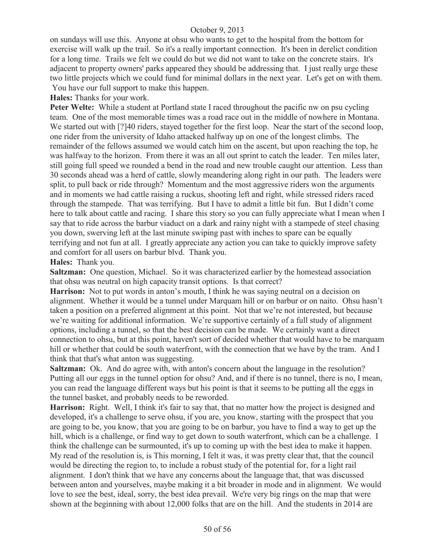on sundays will use this. Anyone at ohsu who wants to get to the hospital from the bottom for exercise will walk up the trail. So it's a really important connection. It's been in derelict condition for a long time. Trails we felt we could do but we did not want to take on the concrete stairs. It's adjacent to property owners' parks appeared they should be addressing that. I just really urge these two little projects which we could fund for minimal dollars in the next year. Let's get on with them. You have our full support to make this happen.

**Hales:** Thanks for your work.

**Peter Welte:** While a student at Portland state I raced throughout the pacific nw on psu cycling team. One of the most memorable times was a road race out in the middle of nowhere in Montana. We started out with [?]40 riders, stayed together for the first loop. Near the start of the second loop, one rider from the university of Idaho attacked halfway up on one of the longest climbs. The remainder of the fellows assumed we would catch him on the ascent, but upon reaching the top, he was halfway to the horizon. From there it was an all out sprint to catch the leader. Ten miles later, still going full speed we rounded a bend in the road and new trouble caught our attention. Less than 30 seconds ahead was a herd of cattle, slowly meandering along right in our path. The leaders were split, to pull back or ride through? Momentum and the most aggressive riders won the arguments and in moments we had cattle raising a ruckus, shooting left and right, while stressed riders raced through the stampede. That was terrifying. But I have to admit a little bit fun. But I didn't come here to talk about cattle and racing. I share this story so you can fully appreciate what I mean when I say that to ride across the barbur viaduct on a dark and rainy night with a stampede of steel chasing you down, swerving left at the last minute swiping past with inches to spare can be equally terrifying and not fun at all. I greatly appreciate any action you can take to quickly improve safety and comfort for all users on barbur blvd. Thank you.

#### **Hales:** Thank you.

**Saltzman:** One question, Michael. So it was characterized earlier by the homestead association that ohsu was neutral on high capacity transit options. Is that correct?

**Harrison:** Not to put words in anton's mouth, I think he was saying neutral on a decision on alignment. Whether it would be a tunnel under Marquam hill or on barbur or on naito. Ohsu hasn't taken a position on a preferred alignment at this point. Not that we're not interested, but because we're waiting for additional information. We're supportive certainly of a full study of alignment options, including a tunnel, so that the best decision can be made. We certainly want a direct connection to ohsu, but at this point, haven't sort of decided whether that would have to be marquam hill or whether that could be south waterfront, with the connection that we have by the tram. And I think that that's what anton was suggesting.

**Saltzman:** Ok. And do agree with, with anton's concern about the language in the resolution? Putting all our eggs in the tunnel option for ohsu? And, and if there is no tunnel, there is no, I mean, you can read the language different ways but his point is that it seems to be putting all the eggs in the tunnel basket, and probably needs to be reworded.

**Harrison:** Right. Well, I think it's fair to say that, that no matter how the project is designed and developed, it's a challenge to serve ohsu, if you are, you know, starting with the prospect that you are going to be, you know, that you are going to be on barbur, you have to find a way to get up the hill, which is a challenge, or find way to get down to south waterfront, which can be a challenge. I think the challenge can be surmounted, it's up to coming up with the best idea to make it happen. My read of the resolution is, is This morning, I felt it was, it was pretty clear that, that the council would be directing the region to, to include a robust study of the potential for, for a light rail alignment. I don't think that we have any concerns about the language that, that was discussed between anton and yourselves, maybe making it a bit broader in mode and in alignment. We would love to see the best, ideal, sorry, the best idea prevail. We're very big rings on the map that were shown at the beginning with about 12,000 folks that are on the hill. And the students in 2014 are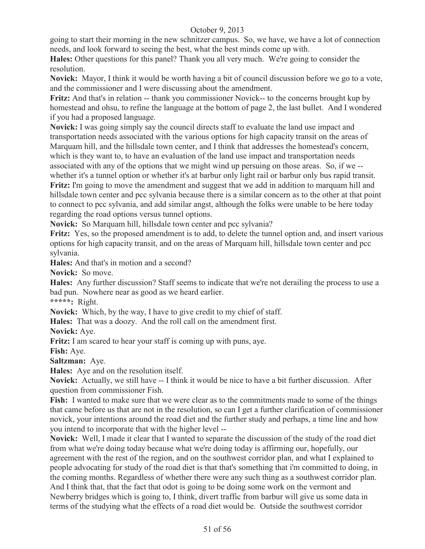going to start their morning in the new schnitzer campus. So, we have, we have a lot of connection needs, and look forward to seeing the best, what the best minds come up with.

**Hales:** Other questions for this panel? Thank you all very much. We're going to consider the resolution.

**Novick:** Mayor, I think it would be worth having a bit of council discussion before we go to a vote, and the commissioner and I were discussing about the amendment.

**Fritz:** And that's in relation -- thank you commissioner Novick-- to the concerns brought kup by homestead and ohsu, to refine the language at the bottom of page 2, the last bullet. And I wondered if you had a proposed language.

**Novick:** I was going simply say the council directs staff to evaluate the land use impact and transportation needs associated with the various options for high capacity transit on the areas of Marquam hill, and the hillsdale town center, and I think that addresses the homestead's concern, which is they want to, to have an evaluation of the land use impact and transportation needs associated with any of the options that we might wind up persuing on those areas. So, if we - whether it's a tunnel option or whether it's at barbur only light rail or barbur only bus rapid transit. **Fritz:** I'm going to move the amendment and suggest that we add in addition to marquam hill and hillsdale town center and pcc sylvania because there is a similar concern as to the other at that point to connect to pcc sylvania, and add similar angst, although the folks were unable to be here today regarding the road options versus tunnel options.

**Novick:** So Marquam hill, hillsdale town center and pcc sylvania?

**Fritz:** Yes, so the proposed amendment is to add, to delete the tunnel option and, and insert various options for high capacity transit, and on the areas of Marquam hill, hillsdale town center and pcc sylvania.

**Hales:** And that's in motion and a second?

**Novick:** So move.

**Hales:** Any further discussion? Staff seems to indicate that we're not derailing the process to use a bad pun. Nowhere near as good as we heard earlier.

**\*\*\*\*\*:** Right.

**Novick:** Which, by the way, I have to give credit to my chief of staff.

**Hales:** That was a doozy. And the roll call on the amendment first.

**Novick:** Aye.

**Fritz:** I am scared to hear your staff is coming up with puns, aye.

**Fish:** Aye.

**Saltzman:** Aye.

**Hales:** Aye and on the resolution itself.

**Novick:** Actually, we still have -- I think it would be nice to have a bit further discussion. After question from commissioner Fish.

**Fish:** I wanted to make sure that we were clear as to the commitments made to some of the things that came before us that are not in the resolution, so can I get a further clarification of commissioner novick, your intentions around the road diet and the further study and perhaps, a time line and how you intend to incorporate that with the higher level --

**Novick:** Well, I made it clear that I wanted to separate the discussion of the study of the road diet from what we're doing today because what we're doing today is affirming our, hopefully, our agreement with the rest of the region, and on the southwest corridor plan, and what I explained to people advocating for study of the road diet is that that's something that i'm committed to doing, in the coming months. Regardless of whether there were any such thing as a southwest corridor plan. And I think that, that the fact that odot is going to be doing some work on the vermont and Newberry bridges which is going to, I think, divert traffic from barbur will give us some data in terms of the studying what the effects of a road diet would be. Outside the southwest corridor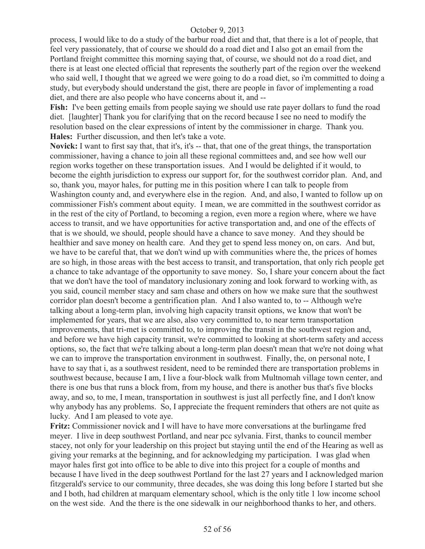process, I would like to do a study of the barbur road diet and that, that there is a lot of people, that feel very passionately, that of course we should do a road diet and I also got an email from the Portland freight committee this morning saying that, of course, we should not do a road diet, and there is at least one elected official that represents the southerly part of the region over the weekend who said well, I thought that we agreed we were going to do a road diet, so i'm committed to doing a study, but everybody should understand the gist, there are people in favor of implementing a road diet, and there are also people who have concerns about it, and --

**Fish:** I've been getting emails from people saying we should use rate payer dollars to fund the road diet. [laughter] Thank you for clarifying that on the record because I see no need to modify the resolution based on the clear expressions of intent by the commissioner in charge. Thank you. **Hales:** Further discussion, and then let's take a vote.

**Novick:** I want to first say that, that it's, it's -- that, that one of the great things, the transportation commissioner, having a chance to join all these regional committees and, and see how well our region works together on these transportation issues. And I would be delighted if it would, to become the eighth jurisdiction to express our support for, for the southwest corridor plan. And, and so, thank you, mayor hales, for putting me in this position where I can talk to people from Washington county and, and everywhere else in the region. And, and also, I wanted to follow up on commissioner Fish's comment about equity. I mean, we are committed in the southwest corridor as in the rest of the city of Portland, to becoming a region, even more a region where, where we have access to transit, and we have opportunities for active transportation and, and one of the effects of that is we should, we should, people should have a chance to save money. And they should be healthier and save money on health care. And they get to spend less money on, on cars. And but, we have to be careful that, that we don't wind up with communities where the, the prices of homes are so high, in those areas with the best access to transit, and transportation, that only rich people get a chance to take advantage of the opportunity to save money. So, I share your concern about the fact that we don't have the tool of mandatory inclusionary zoning and look forward to working with, as you said, council member stacy and sam chase and others on how we make sure that the southwest corridor plan doesn't become a gentrification plan. And I also wanted to, to -- Although we're talking about a long-term plan, involving high capacity transit options, we know that won't be implemented for years, that we are also, also very committed to, to near term transportation improvements, that tri-met is committed to, to improving the transit in the southwest region and, and before we have high capacity transit, we're committed to looking at short-term safety and access options, so, the fact that we're talking about a long-term plan doesn't mean that we're not doing what we can to improve the transportation environment in southwest. Finally, the, on personal note, I have to say that i, as a southwest resident, need to be reminded there are transportation problems in southwest because, because I am, I live a four-block walk from Multnomah village town center, and there is one bus that runs a block from, from my house, and there is another bus that's five blocks away, and so, to me, I mean, transportation in southwest is just all perfectly fine, and I don't know why anybody has any problems. So, I appreciate the frequent reminders that others are not quite as lucky. And I am pleased to vote aye.

**Fritz:** Commissioner novick and I will have to have more conversations at the burlingame fred meyer. I live in deep southwest Portland, and near pcc sylvania. First, thanks to council member stacey, not only for your leadership on this project but staying until the end of the Hearing as well as giving your remarks at the beginning, and for acknowledging my participation. I was glad when mayor hales first got into office to be able to dive into this project for a couple of months and because I have lived in the deep southwest Portland for the last 27 years and I acknowledged marion fitzgerald's service to our community, three decades, she was doing this long before I started but she and I both, had children at marquam elementary school, which is the only title 1 low income school on the west side. And the there is the one sidewalk in our neighborhood thanks to her, and others.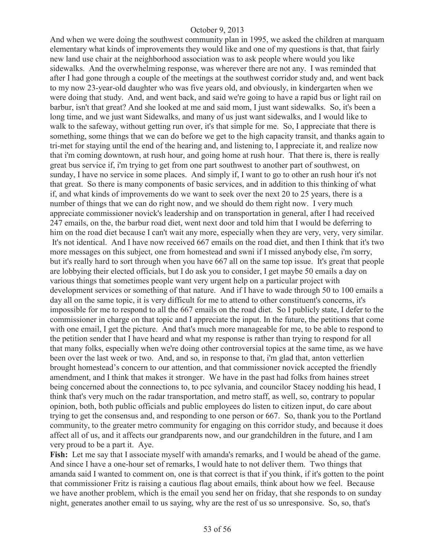And when we were doing the southwest community plan in 1995, we asked the children at marquam elementary what kinds of improvements they would like and one of my questions is that, that fairly new land use chair at the neighborhood association was to ask people where would you like sidewalks. And the overwhelming response, was wherever there are not any. I was reminded that after I had gone through a couple of the meetings at the southwest corridor study and, and went back to my now 23-year-old daughter who was five years old, and obviously, in kindergarten when we were doing that study. And, and went back, and said we're going to have a rapid bus or light rail on barbur, isn't that great? And she looked at me and said mom, I just want sidewalks. So, it's been a long time, and we just want Sidewalks, and many of us just want sidewalks, and I would like to walk to the safeway, without getting run over, it's that simple for me. So, I appreciate that there is something, some things that we can do before we get to the high capacity transit, and thanks again to tri-met for staying until the end of the hearing and, and listening to, I appreciate it, and realize now that i'm coming downtown, at rush hour, and going home at rush hour. That there is, there is really great bus service if, i'm trying to get from one part southwest to another part of southwest, on sunday, I have no service in some places. And simply if, I want to go to other an rush hour it's not that great. So there is many components of basic services, and in addition to this thinking of what if, and what kinds of improvements do we want to seek over the next 20 to 25 years, there is a number of things that we can do right now, and we should do them right now. I very much appreciate commissioner novick's leadership and on transportation in general, after I had received 247 emails, on the, the barbur road diet, went next door and told him that I would be deferring to him on the road diet because I can't wait any more, especially when they are very, very, very similar. It's not identical. And I have now received 667 emails on the road diet, and then I think that it's two more messages on this subject, one from homestead and swni if I missed anybody else, i'm sorry, but it's really hard to sort through when you have 667 all on the same top issue. It's great that people are lobbying their elected officials, but I do ask you to consider, I get maybe 50 emails a day on various things that sometimes people want very urgent help on a particular project with development services or something of that nature. And if I have to wade through 50 to 100 emails a day all on the same topic, it is very difficult for me to attend to other constituent's concerns, it's impossible for me to respond to all the 667 emails on the road diet. So I publicly state, I defer to the commissioner in charge on that topic and I appreciate the input. In the future, the petitions that come with one email, I get the picture. And that's much more manageable for me, to be able to respond to the petition sender that I have heard and what my response is rather than trying to respond for all that many folks, especially when we're doing other controversial topics at the same time, as we have been over the last week or two. And, and so, in response to that, i'm glad that, anton vetterlien brought homestead's concern to our attention, and that commissioner novick accepted the friendly amendment, and I think that makes it stronger. We have in the past had folks from haines street being concerned about the connections to, to pcc sylvania, and councilor Stacey nodding his head, I think that's very much on the radar transportation, and metro staff, as well, so, contrary to popular opinion, both, both public officials and public employees do listen to citizen input, do care about trying to get the consensus and, and responding to one person or 667. So, thank you to the Portland community, to the greater metro community for engaging on this corridor study, and because it does affect all of us, and it affects our grandparents now, and our grandchildren in the future, and I am very proud to be a part it. Aye.

**Fish:** Let me say that I associate myself with amanda's remarks, and I would be ahead of the game. And since I have a one-hour set of remarks, I would hate to not deliver them. Two things that amanda said I wanted to comment on, one is that correct is that if you think, if it's gotten to the point that commissioner Fritz is raising a cautious flag about emails, think about how we feel. Because we have another problem, which is the email you send her on friday, that she responds to on sunday night, generates another email to us saying, why are the rest of us so unresponsive. So, so, that's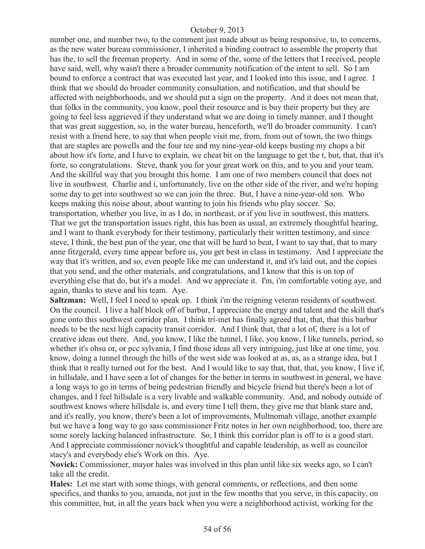number one, and number two, to the comment just made about us being responsive, to, to concerns, as the new water bureau commissioner, I inherited a binding contract to assemble the property that has the, to sell the freeman property. And in some of the, some of the letters that I received, people have said, well, why wasn't there a broader community notification of the intent to sell. So I am bound to enforce a contract that was executed last year, and I looked into this issue, and I agree. I think that we should do broader community consultation, and notification, and that should be affected with neighborhoods, and we should put a sign on the property. And it does not mean that, that folks in the community, you know, pool their resource and is buy their property but they are going to feel less aggrieved if they understand what we are doing in timely manner, and I thought that was great suggestion, so, in the water bureau, henceforth, we'll do broader community. I can't resist with a friend here, to say that when people visit me, from, from out of town, the two things that are staples are powells and the four tee and my nine-year-old keeps busting my chops a bit about how it's forte, and I have to explain, we cheat bit on the language to get the t, but, that, that it's forte, so congratulations. Steve, thank you for your great work on this, and to you and your team. And the skillful way that you brought this home. I am one of two members council that does not live in southwest. Charlie and i, unfortunately, live on the other side of the river, and we're hoping some day to get into southwest so we can join the three. But, I have a nine-year-old son. Who keeps making this noise about, about wanting to join his friends who play soccer. So, transportation, whether you live, in as I do, in northeast, or if you live in southwest, this matters. That we get the transportation issues right, this has been as usual, an extremely thoughtful hearing, and I want to thank everybody for their testimony, particularly their written testimony, and since steve, I think, the best pun of the year, one that will be hard to beat, I want to say that, that to mary anne fitzgerald, every time appear before us, you get best in class in testimony. And I appreciate the way that it's written, and so, even people like me can understand it, and it's laid out, and the copies that you send, and the other materials, and congratulations, and I know that this is on top of everything else that do, but it's a model. And we appreciate it. I'm, i'm comfortable voting aye, and again, thanks to steve and his team. Aye.

**Saltzman:** Well, I feel I need to speak up. I think i'm the reigning veteran residents of southwest. On the council. I live a half block off of barbur, I appreciate the energy and talent and the skill that's gone onto this southwest corridor plan. I think tri-met has finally agreed that, that, that this barbur needs to be the next high capacity transit corridor. And I think that, that a lot of, there is a lot of creative ideas out there. And, you know, I like the tunnel, I like, you know, I like tunnels, period, so whether it's ohsu or, or pcc sylvania, I find those ideas all very intriguing, just like at one time, you know, doing a tunnel through the hills of the west side was looked at as, as, as a strange idea, but I think that it really turned out for the best. And I would like to say that, that, that, you know, I live if, in hillsdale, and I have seen a lot of changes for the better in terms in southwest in general, we have a long ways to go in terms of being pedestrian friendly and bicycle friend but there's been a lot of changes, and I feel hillsdale is a very livable and walkable community. And, and nobody outside of southwest knows where hillsdale is, and every time I tell them, they give me that blank stare and, and it's really, you know, there's been a lot of improvements, Multnomah village, another example but we have a long way to go sass commissioner Fritz notes in her own neighborhood, too, there are some sorely lacking balanced infrastructure. So, I think this corridor plan is off to is a good start. And I appreciate commissioner novick's thoughtful and capable leadership, as well as councilor stacy's and everybody else's Work on this. Aye.

**Novick:** Commissioner, mayor hales was involved in this plan until like six weeks ago, so I can't take all the credit.

**Hales:** Let me start with some things, with general comments, or reflections, and then some specifics, and thanks to you, amanda, not just in the few months that you serve, in this capacity, on this committee, but, in all the years back when you were a neighborhood activist, working for the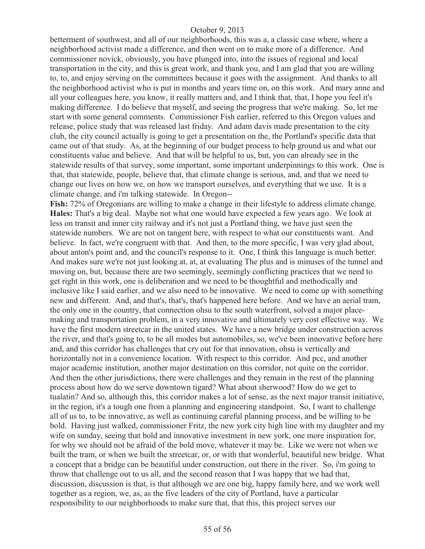betterment of southwest, and all of our neighborhoods, this was a, a classic case where, where a neighborhood activist made a difference, and then went on to make more of a difference. And commissioner novick, obviously, you have plunged into, into the issues of regional and local transportation in the city, and this is great work, and thank you, and I am glad that you are willing to, to, and enjoy serving on the committees because it goes with the assignment. And thanks to all the neighborhood activist who is put in months and years time on, on this work. And mary anne and all your colleagues here, you know, it really matters and, and I think that, that, I hope you feel it's making difference. I do believe that myself, and seeing the progress that we're making. So, let me start with some general comments. Commissioner Fish earlier, referred to this Oregon values and release, police study that was released last friday. And adam davis made presentation to the city club, the city council actually is going to get a presentation on the, the Portland's specific data that came out of that study. As, at the beginning of our budget process to help ground us and what our constituents value and believe. And that will be helpful to us, but, you can already see in the statewide results of that survey, some important, some important underpinnings to this work. One is that, that statewide, people, believe that, that climate change is serious, and, and that we need to change our lives on how we, on how we transport ourselves, and everything that we use. It is a climate change, and i'm talking statewide. In Oregon--

**Fish:** 72% of Oregonians are willing to make a change in their lifestyle to address climate change. **Hales:** That's a big deal. Maybe not what one would have expected a few years ago. We look at less on transit and inner city railway and it's not just a Portland thing, we have just seen the statewide numbers. We are not on tangent here, with respect to what our constituents want. And believe. In fact, we're congruent with that. And then, to the more specific, I was very glad about, about anton's point and, and the council's response to it. One, I think this language is much better. And makes sure we're not just looking at, at, at evaluating The plus and is minuses of the tunnel and moving on, but, because there are two seemingly, seemingly conflicting practices that we need to get right in this work, one is deliberation and we need to be thoughtful and methodically and inclusive like I said earlier, and we also need to be innovative. We need to come up with something new and different. And, and that's, that's, that's happened here before. And we have an aerial tram, the only one in the country, that connection ohsu to the south waterfront, solved a major placemaking and transportation problem, in a very innovative and ultimately very cost effective way. We have the first modern streetcar in the united states. We have a new bridge under construction across the river, and that's going to, to be all modes but automobiles, so, we've been innovative before here and, and this corridor has challenges that cry out for that innovation, ohsu is vertically and horizontally not in a convenience location. With respect to this corridor. And pcc, and another major academic institution, another major destination on this corridor, not quite on the corridor. And then the other jurisdictions, there were challenges and they remain in the rest of the planning process about how do we serve downtown tigard? What about sherwood? How do we get to tualatin? And so, although this, this corridor makes a lot of sense, as the next major transit initiative, in the region, it's a tough one from a planning and engineering standpoint. So, I want to challenge all of us to, to be innovative, as well as continuing careful planning process, and be willing to be bold. Having just walked, commissioner Fritz, the new york city high line with my daughter and my wife on sunday, seeing that bold and innovative investment in new york, one more inspiration for, for why we should not be afraid of the bold move, whatever it may be. Like we were not when we built the tram, or when we built the streetcar, or, or with that wonderful, beautiful new bridge. What a concept that a bridge can be beautiful under construction, out there in the river. So, i'm going to throw that challenge out to us all, and the second reason that I was happy that we had that, discussion, discussion is that, is that although we are one big, happy family here, and we work well together as a region, we, as, as the five leaders of the city of Portland, have a particular responsibility to our neighborhoods to make sure that, that this, this project serves our